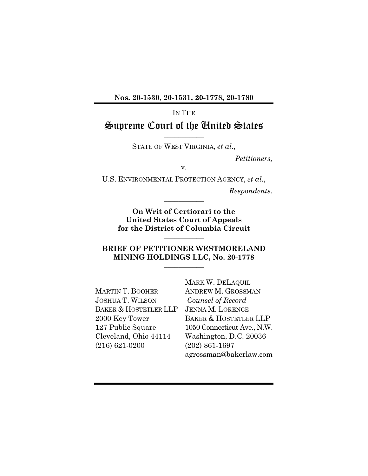**Nos. 20-1530, 20-1531, 20-1778, 20-1780**

IN THE

### Supreme Court of the United States **\_\_\_\_\_\_\_\_\_\_\_**

STATE OF WEST VIRGINIA, *et al*.,

*Petitioners,*

v.

U.S. ENVIRONMENTAL PROTECTION AGENCY, *et al*.,

**\_\_\_\_\_\_\_\_\_\_\_**

*Respondents.*

**On Writ of Certiorari to the United States Court of Appeals for the District of Columbia Circuit \_\_\_\_\_\_\_\_\_\_\_**

#### **BRIEF OF PETITIONER WESTMORELAND MINING HOLDINGS LLC, No. 20-1778 \_\_\_\_\_\_\_\_\_\_\_**

MARTIN T. BOOHER JOSHUA T. WILSON BAKER & HOSTETLER LLP 2000 Key Tower 127 Public Square Cleveland, Ohio 44114 (216) 621-0200

MARK W. DELAQUIL ANDREW M. GROSSMAN *Counsel of Record* JENNA M. LORENCE BAKER & HOSTETLER LLP 1050 Connecticut Ave., N.W. Washington, D.C. 20036 (202) 861-1697 agrossman@bakerlaw.com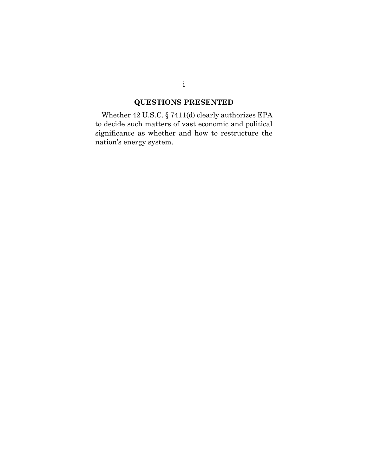# **QUESTIONS PRESENTED**

Whether 42 U.S.C. § 7411(d) clearly authorizes EPA to decide such matters of vast economic and political significance as whether and how to restructure the nation's energy system.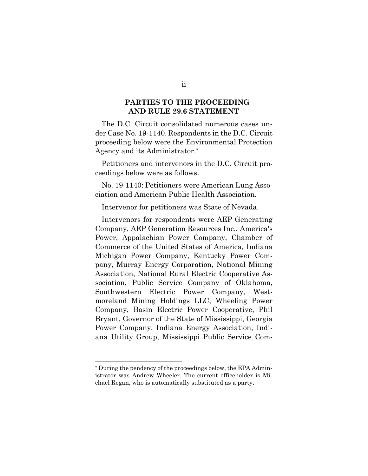### **PARTIES TO THE PROCEEDING AND RULE 29.6 STATEMENT**

The D.C. Circuit consolidated numerous cases under Case No. 19-1140. Respondents in the D.C. Circuit proceeding below were the Environmental Protection Agency and its Administrator.\*

Petitioners and intervenors in the D.C. Circuit proceedings below were as follows.

No. 19-1140: Petitioners were American Lung Association and American Public Health Association.

Intervenor for petitioners was State of Nevada.

Intervenors for respondents were AEP Generating Company, AEP Generation Resources Inc., America's Power, Appalachian Power Company, Chamber of Commerce of the United States of America, Indiana Michigan Power Company, Kentucky Power Company, Murray Energy Corporation, National Mining Association, National Rural Electric Cooperative Association, Public Service Company of Oklahoma, Southwestern Electric Power Company, Westmoreland Mining Holdings LLC, Wheeling Power Company, Basin Electric Power Cooperative, Phil Bryant, Governor of the State of Mississippi, Georgia Power Company, Indiana Energy Association, Indiana Utility Group, Mississippi Public Service Com-

ii

<sup>\*</sup> During the pendency of the proceedings below, the EPA Administrator was Andrew Wheeler. The current officeholder is Michael Regan, who is automatically substituted as a party.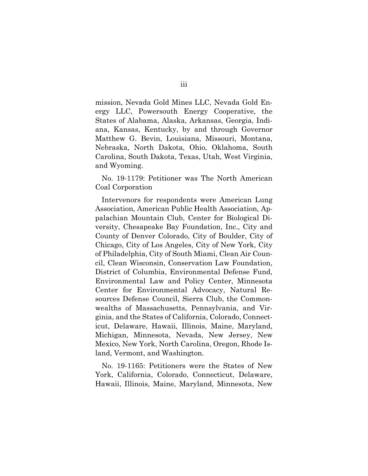mission, Nevada Gold Mines LLC, Nevada Gold Energy LLC, Powersouth Energy Cooperative, the States of Alabama, Alaska, Arkansas, Georgia, Indiana, Kansas, Kentucky, by and through Governor Matthew G. Bevin, Louisiana, Missouri, Montana, Nebraska, North Dakota, Ohio, Oklahoma, South Carolina, South Dakota, Texas, Utah, West Virginia, and Wyoming.

No. 19-1179: Petitioner was The North American Coal Corporation

Intervenors for respondents were American Lung Association, American Public Health Association, Appalachian Mountain Club, Center for Biological Diversity, Chesapeake Bay Foundation, Inc., City and County of Denver Colorado, City of Boulder, City of Chicago, City of Los Angeles, City of New York, City of Philadelphia, City of South Miami, Clean Air Council, Clean Wisconsin, Conservation Law Foundation, District of Columbia, Environmental Defense Fund, Environmental Law and Policy Center, Minnesota Center for Environmental Advocacy, Natural Resources Defense Council, Sierra Club, the Commonwealths of Massachusetts, Pennsylvania, and Virginia, and the States of California, Colorado, Connecticut, Delaware, Hawaii, Illinois, Maine, Maryland, Michigan, Minnesota, Nevada, New Jersey, New Mexico, New York, North Carolina, Oregon, Rhode Island, Vermont, and Washington.

No. 19-1165: Petitioners were the States of New York, California, Colorado, Connecticut, Delaware, Hawaii, Illinois, Maine, Maryland, Minnesota, New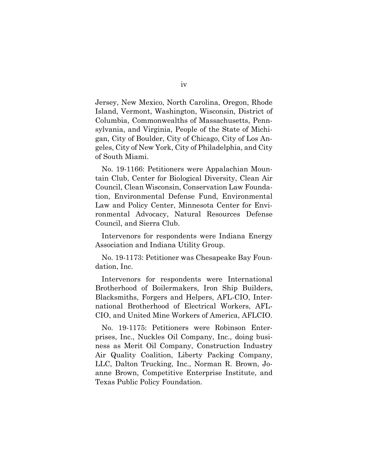Jersey, New Mexico, North Carolina, Oregon, Rhode Island, Vermont, Washington, Wisconsin, District of Columbia, Commonwealths of Massachusetts, Pennsylvania, and Virginia, People of the State of Michigan, City of Boulder, City of Chicago, City of Los Angeles, City of New York, City of Philadelphia, and City of South Miami.

No. 19-1166: Petitioners were Appalachian Mountain Club, Center for Biological Diversity, Clean Air Council, Clean Wisconsin, Conservation Law Foundation, Environmental Defense Fund, Environmental Law and Policy Center, Minnesota Center for Environmental Advocacy, Natural Resources Defense Council, and Sierra Club.

Intervenors for respondents were Indiana Energy Association and Indiana Utility Group.

No. 19-1173: Petitioner was Chesapeake Bay Foundation, Inc.

Intervenors for respondents were International Brotherhood of Boilermakers, Iron Ship Builders, Blacksmiths, Forgers and Helpers, AFL-CIO, International Brotherhood of Electrical Workers, AFL-CIO, and United Mine Workers of America, AFLCIO.

No. 19-1175: Petitioners were Robinson Enterprises, Inc., Nuckles Oil Company, Inc., doing business as Merit Oil Company, Construction Industry Air Quality Coalition, Liberty Packing Company, LLC, Dalton Trucking, Inc., Norman R. Brown, Joanne Brown, Competitive Enterprise Institute, and Texas Public Policy Foundation.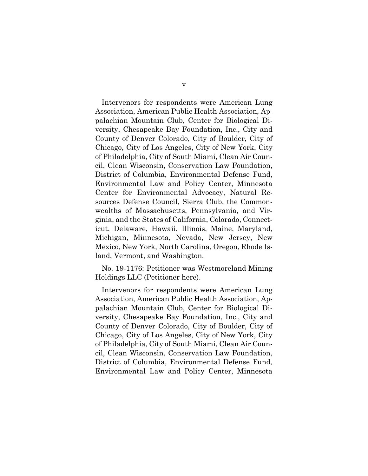Intervenors for respondents were American Lung Association, American Public Health Association, Appalachian Mountain Club, Center for Biological Diversity, Chesapeake Bay Foundation, Inc., City and County of Denver Colorado, City of Boulder, City of Chicago, City of Los Angeles, City of New York, City of Philadelphia, City of South Miami, Clean Air Council, Clean Wisconsin, Conservation Law Foundation, District of Columbia, Environmental Defense Fund, Environmental Law and Policy Center, Minnesota Center for Environmental Advocacy, Natural Resources Defense Council, Sierra Club, the Commonwealths of Massachusetts, Pennsylvania, and Virginia, and the States of California, Colorado, Connecticut, Delaware, Hawaii, Illinois, Maine, Maryland, Michigan, Minnesota, Nevada, New Jersey, New Mexico, New York, North Carolina, Oregon, Rhode Island, Vermont, and Washington.

No. 19-1176: Petitioner was Westmoreland Mining Holdings LLC (Petitioner here).

Intervenors for respondents were American Lung Association, American Public Health Association, Appalachian Mountain Club, Center for Biological Diversity, Chesapeake Bay Foundation, Inc., City and County of Denver Colorado, City of Boulder, City of Chicago, City of Los Angeles, City of New York, City of Philadelphia, City of South Miami, Clean Air Council, Clean Wisconsin, Conservation Law Foundation, District of Columbia, Environmental Defense Fund, Environmental Law and Policy Center, Minnesota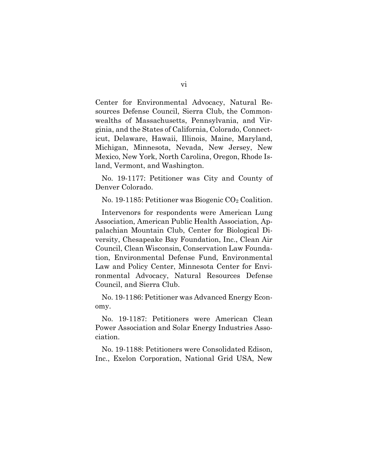Center for Environmental Advocacy, Natural Resources Defense Council, Sierra Club, the Commonwealths of Massachusetts, Pennsylvania, and Virginia, and the States of California, Colorado, Connecticut, Delaware, Hawaii, Illinois, Maine, Maryland, Michigan, Minnesota, Nevada, New Jersey, New Mexico, New York, North Carolina, Oregon, Rhode Island, Vermont, and Washington.

No. 19-1177: Petitioner was City and County of Denver Colorado.

No. 19-1185: Petitioner was Biogenic  $CO<sub>2</sub>$  Coalition.

Intervenors for respondents were American Lung Association, American Public Health Association, Appalachian Mountain Club, Center for Biological Diversity, Chesapeake Bay Foundation, Inc., Clean Air Council, Clean Wisconsin, Conservation Law Foundation, Environmental Defense Fund, Environmental Law and Policy Center, Minnesota Center for Environmental Advocacy, Natural Resources Defense Council, and Sierra Club.

No. 19-1186: Petitioner was Advanced Energy Economy.

No. 19-1187: Petitioners were American Clean Power Association and Solar Energy Industries Association.

No. 19-1188: Petitioners were Consolidated Edison, Inc., Exelon Corporation, National Grid USA, New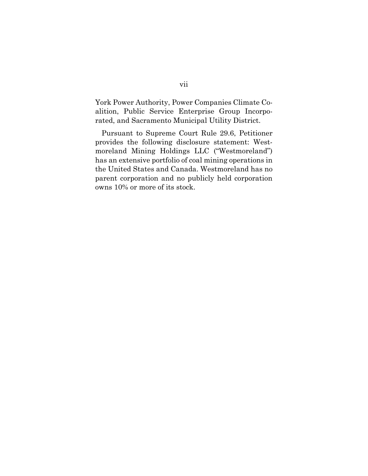York Power Authority, Power Companies Climate Coalition, Public Service Enterprise Group Incorporated, and Sacramento Municipal Utility District.

Pursuant to Supreme Court Rule 29.6, Petitioner provides the following disclosure statement: Westmoreland Mining Holdings LLC ("Westmoreland") has an extensive portfolio of coal mining operations in the United States and Canada. Westmoreland has no parent corporation and no publicly held corporation owns 10% or more of its stock.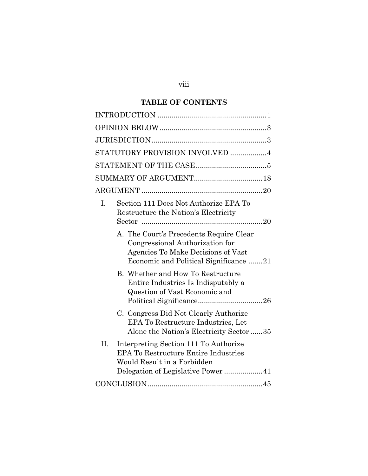# viii

# **TABLE OF CONTENTS**

| STATUTORY PROVISION INVOLVED 4                                                                                                                                   |
|------------------------------------------------------------------------------------------------------------------------------------------------------------------|
|                                                                                                                                                                  |
|                                                                                                                                                                  |
|                                                                                                                                                                  |
| Section 111 Does Not Authorize EPA To<br>I.<br>Restructure the Nation's Electricity                                                                              |
| A. The Court's Precedents Require Clear<br>Congressional Authorization for<br>Agencies To Make Decisions of Vast<br>Economic and Political Significance 21       |
| B. Whether and How To Restructure<br>Entire Industries Is Indisputably a<br>Question of Vast Economic and                                                        |
| C. Congress Did Not Clearly Authorize<br>EPA To Restructure Industries, Let<br>Alone the Nation's Electricity Sector 35                                          |
| II.<br>Interpreting Section 111 To Authorize<br><b>EPA To Restructure Entire Industries</b><br>Would Result in a Forbidden<br>Delegation of Legislative Power 41 |
|                                                                                                                                                                  |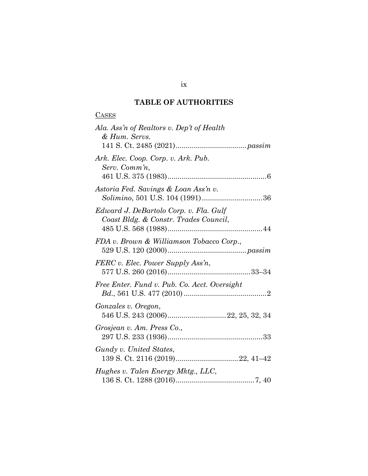## **TABLE OF AUTHORITIES**

### **CASES**

| Ala. Ass'n of Realtors v. Dep't of Health<br>& Hum. Servs.                      |
|---------------------------------------------------------------------------------|
|                                                                                 |
| Ark. Elec. Coop. Corp. v. Ark. Pub.<br>Serv. Comm'n,                            |
| Astoria Fed. Savings & Loan Ass'n v.<br>Solimino, 501 U.S. 104 (1991)36         |
| Edward J. DeBartolo Corp. v. Fla. Gulf<br>Coast Bldg. & Constr. Trades Council, |
| FDA v. Brown & Williamson Tobacco Corp.,                                        |
| FERC v. Elec. Power Supply Ass'n,                                               |
| Free Enter. Fund v. Pub. Co. Acct. Oversight                                    |
| Gonzales v. Oregon,                                                             |
| Grosjean v. Am. Press Co.,                                                      |
| Gundy v. United States,                                                         |
| Hughes v. Talen Energy Mktg., LLC,                                              |

### ix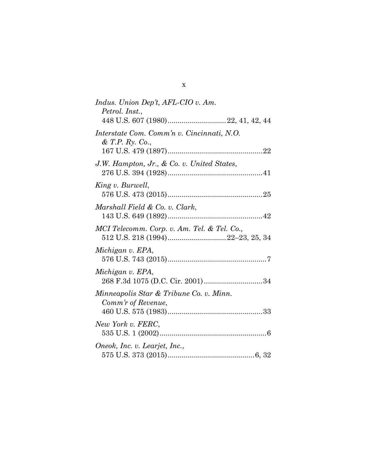| Indus. Union Dep't, AFL-CIO v. Am.                            |
|---------------------------------------------------------------|
| Petrol. Inst.,                                                |
| Interstate Com. Comm'n v. Cincinnati, N.O.<br>& T.P. Ry. Co., |
| J.W. Hampton, Jr., & Co. v. United States,                    |
| King v. Burwell,                                              |
| Marshall Field & Co. v. Clark,                                |
| MCI Telecomm. Corp. v. Am. Tel. & Tel. Co.,                   |
| Michigan v. EPA,                                              |
| Michigan v. EPA,<br>268 F.3d 1075 (D.C. Cir. 2001) 34         |
| Minneapolis Star & Tribune Co. v. Minn.<br>Comm'r of Revenue, |
| New York v. FERC,                                             |
| Oneok, Inc. v. Learjet, Inc.,                                 |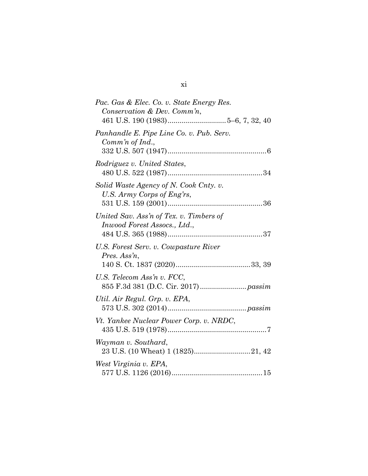| Pac. Gas & Elec. Co. v. State Energy Res.                               |
|-------------------------------------------------------------------------|
| Conservation & Dev. Comm'n,                                             |
| Panhandle E. Pipe Line Co. v. Pub. Serv.                                |
| Comm'n of Ind.,                                                         |
| Rodriguez v. United States,                                             |
| Solid Waste Agency of N. Cook Cnty. v.<br>U.S. Army Corps of Eng'rs,    |
| United Sav. Ass'n of Tex. v. Timbers of<br>Inwood Forest Assocs., Ltd., |
| U.S. Forest Serv. v. Cowpasture River<br>Pres. Ass'n,                   |
| U.S. Telecom Ass'n v. FCC,                                              |
| Util. Air Regul. Grp. v. EPA,                                           |
| Vt. Yankee Nuclear Power Corp. v. NRDC,                                 |
| Wayman v. Southard,<br>23 U.S. (10 Wheat) 1 (1825)21, 42                |
| West Virginia v. EPA,                                                   |

# xi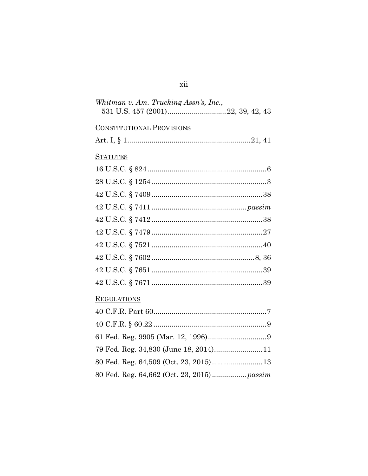# $\,$ xii

| Whitman v. Am. Trucking Assn's, Inc., |  |
|---------------------------------------|--|
|                                       |  |

# **CONSTITUTIONAL PROVISIONS**

# **STATUTES**

# REGULATIONS

| 79 Fed. Reg. 34,830 (June 18, 2014)11      |  |
|--------------------------------------------|--|
|                                            |  |
| 80 Fed. Reg. 64,662 (Oct. 23, 2015) passim |  |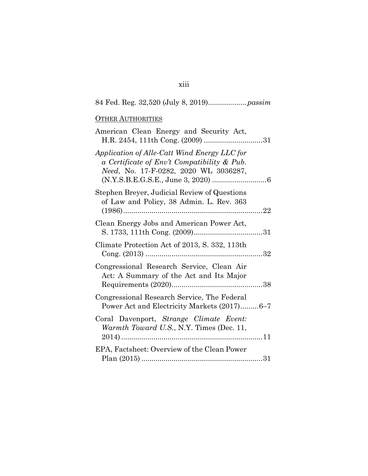| <b>OTHER AUTHORITIES</b>                                                                                                             |
|--------------------------------------------------------------------------------------------------------------------------------------|
| American Clean Energy and Security Act,                                                                                              |
| Application of Alle-Catt Wind Energy LLC for<br>a Certificate of Env't Compatibility & Pub.<br>Need, No. 17-F-0282, 2020 WL 3036287, |
| Stephen Breyer, Judicial Review of Questions<br>of Law and Policy, 38 Admin. L. Rev. 363                                             |
| Clean Energy Jobs and American Power Act,                                                                                            |
| Climate Protection Act of 2013, S. 332, 113th                                                                                        |
| Congressional Research Service, Clean Air<br>Act: A Summary of the Act and Its Major                                                 |
| Congressional Research Service, The Federal<br>Power Act and Electricity Markets (2017)6-7                                           |
| Coral Davenport, Strange Climate Event:<br>Warmth Toward U.S., N.Y. Times (Dec. 11,                                                  |
| EPA, Factsheet: Overview of the Clean Power                                                                                          |

# xiii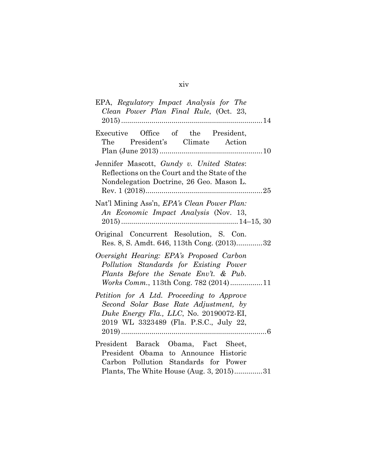# xiv

| EPA, Regulatory Impact Analysis for The<br>Clean Power Plan Final Rule, (Oct. 23,                                                                                             |
|-------------------------------------------------------------------------------------------------------------------------------------------------------------------------------|
| Executive Office of the President,<br>The President's Climate Action                                                                                                          |
| Jennifer Mascott, Gundy v. United States:<br>Reflections on the Court and the State of the<br>Nondelegation Doctrine, 26 Geo. Mason L.                                        |
| Nat'l Mining Ass'n, EPA's Clean Power Plan:<br>An Economic Impact Analysis (Nov. 13,                                                                                          |
| Original Concurrent Resolution, S. Con.<br>Res. 8, S. Amdt. 646, 113th Cong. (2013)32                                                                                         |
| Oversight Hearing: EPA's Proposed Carbon<br>Pollution Standards for Existing Power<br>Plants Before the Senate Env't. & Pub.<br><i>Works Comm.</i> , 113th Cong. 782 (2014)11 |
| Petition for A Ltd. Proceeding to Approve<br>Second Solar Base Rate Adjustment, by<br>Duke Energy Fla., LLC, No. 20190072-EI,<br>2019 WL 3323489 (Fla. P.S.C., July 22,       |
| President Barack Obama, Fact Sheet,<br>President Obama to Announce Historic<br>Carbon Pollution Standards for Power<br>Plants, The White House (Aug. 3, 2015)31               |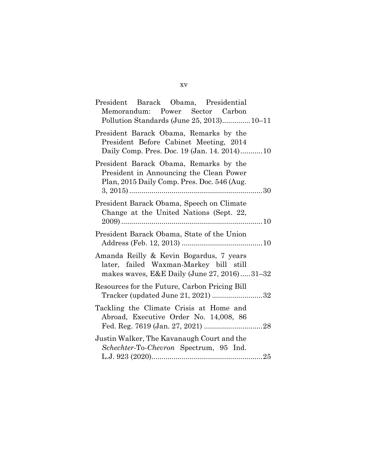| President Barack Obama, Presidential                                                                                             |  |
|----------------------------------------------------------------------------------------------------------------------------------|--|
| Memorandum: Power Sector Carbon<br>Pollution Standards (June 25, 2013) 10–11                                                     |  |
| President Barack Obama, Remarks by the<br>President Before Cabinet Meeting, 2014<br>Daily Comp. Pres. Doc. 19 (Jan. 14. 2014)10  |  |
| President Barack Obama, Remarks by the<br>President in Announcing the Clean Power<br>Plan, 2015 Daily Comp. Pres. Doc. 546 (Aug. |  |
| President Barack Obama, Speech on Climate<br>Change at the United Nations (Sept. 22,                                             |  |
| President Barack Obama, State of the Union                                                                                       |  |
| Amanda Reilly & Kevin Bogardus, 7 years<br>later, failed Waxman-Markey bill still<br>makes waves, E&E Daily (June 27, 2016)31-32 |  |
| Resources for the Future, Carbon Pricing Bill<br>Tracker (updated June 21, 2021) 32                                              |  |
| Tackling the Climate Crisis at Home and<br>Abroad, Executive Order No. 14,008, 86                                                |  |
| Justin Walker, The Kavanaugh Court and the<br>Schechter-To-Chevron Spectrum, 95 Ind.                                             |  |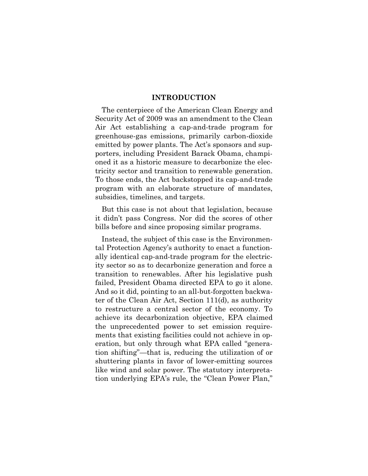#### **INTRODUCTION**

The centerpiece of the American Clean Energy and Security Act of 2009 was an amendment to the Clean Air Act establishing a cap-and-trade program for greenhouse-gas emissions, primarily carbon-dioxide emitted by power plants. The Act's sponsors and supporters, including President Barack Obama, championed it as a historic measure to decarbonize the electricity sector and transition to renewable generation. To those ends, the Act backstopped its cap-and-trade program with an elaborate structure of mandates, subsidies, timelines, and targets.

But this case is not about that legislation, because it didn't pass Congress. Nor did the scores of other bills before and since proposing similar programs.

Instead, the subject of this case is the Environmental Protection Agency's authority to enact a functionally identical cap-and-trade program for the electricity sector so as to decarbonize generation and force a transition to renewables. After his legislative push failed, President Obama directed EPA to go it alone. And so it did, pointing to an all-but-forgotten backwater of the Clean Air Act, Section 111(d), as authority to restructure a central sector of the economy. To achieve its decarbonization objective, EPA claimed the unprecedented power to set emission requirements that existing facilities could not achieve in operation, but only through what EPA called "generation shifting"—that is, reducing the utilization of or shuttering plants in favor of lower-emitting sources like wind and solar power. The statutory interpretation underlying EPA's rule, the "Clean Power Plan,"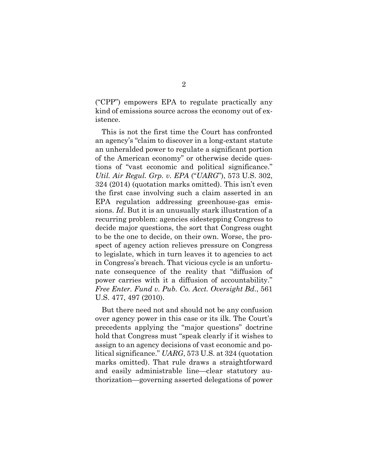("CPP") empowers EPA to regulate practically any kind of emissions source across the economy out of existence.

This is not the first time the Court has confronted an agency's "claim to discover in a long-extant statute an unheralded power to regulate a significant portion of the American economy" or otherwise decide questions of "vast economic and political significance." *Util. Air Regul. Grp. v. EPA* ("*UARG*"), 573 U.S. 302, 324 (2014) (quotation marks omitted). This isn't even the first case involving such a claim asserted in an EPA regulation addressing greenhouse-gas emissions. *Id*. But it is an unusually stark illustration of a recurring problem: agencies sidestepping Congress to decide major questions, the sort that Congress ought to be the one to decide, on their own. Worse, the prospect of agency action relieves pressure on Congress to legislate, which in turn leaves it to agencies to act in Congress's breach. That vicious cycle is an unfortunate consequence of the reality that "diffusion of power carries with it a diffusion of accountability." *Free Enter. Fund v. Pub. Co. Acct. Oversight Bd*., 561 U.S. 477, 497 (2010).

But there need not and should not be any confusion over agency power in this case or its ilk. The Court's precedents applying the "major questions" doctrine hold that Congress must "speak clearly if it wishes to assign to an agency decisions of vast economic and political significance." *UARG*, 573 U.S. at 324 (quotation marks omitted). That rule draws a straightforward and easily administrable line—clear statutory authorization—governing asserted delegations of power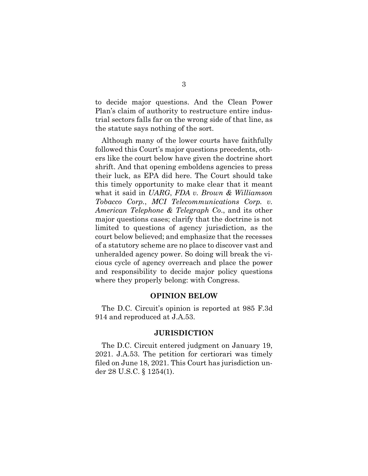to decide major questions. And the Clean Power Plan's claim of authority to restructure entire industrial sectors falls far on the wrong side of that line, as the statute says nothing of the sort.

Although many of the lower courts have faithfully followed this Court's major questions precedents, others like the court below have given the doctrine short shrift. And that opening emboldens agencies to press their luck, as EPA did here. The Court should take this timely opportunity to make clear that it meant what it said in *UARG*, *FDA v. Brown & Williamson Tobacco Corp.*, *MCI Telecommunications Corp. v. American Telephone & Telegraph Co*., and its other major questions cases; clarify that the doctrine is not limited to questions of agency jurisdiction, as the court below believed; and emphasize that the recesses of a statutory scheme are no place to discover vast and unheralded agency power. So doing will break the vicious cycle of agency overreach and place the power and responsibility to decide major policy questions where they properly belong: with Congress.

#### **OPINION BELOW**

The D.C. Circuit's opinion is reported at 985 F.3d 914 and reproduced at J.A.53.

#### **JURISDICTION**

The D.C. Circuit entered judgment on January 19, 2021. J.A.53. The petition for certiorari was timely filed on June 18, 2021. This Court has jurisdiction under 28 U.S.C. § 1254(1).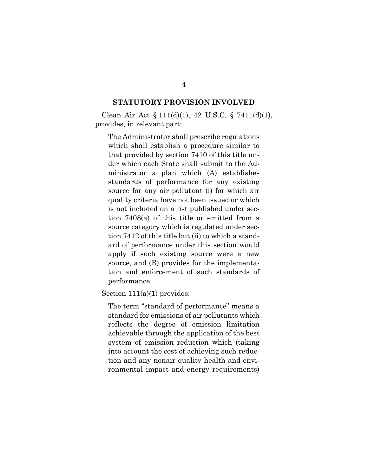#### **STATUTORY PROVISION INVOLVED**

Clean Air Act § 111(d)(1), 42 U.S.C. § 7411(d)(1), provides, in relevant part:

The Administrator shall prescribe regulations which shall establish a procedure similar to that provided by section 7410 of this title under which each State shall submit to the Administrator a plan which (A) establishes standards of performance for any existing source for any air pollutant (i) for which air quality criteria have not been issued or which is not included on a list published under section 7408(a) of this title or emitted from a source category which is regulated under section 7412 of this title but (ii) to which a standard of performance under this section would apply if such existing source were a new source, and (B) provides for the implementation and enforcement of such standards of performance.

Section 111(a)(1) provides:

The term "standard of performance" means a standard for emissions of air pollutants which reflects the degree of emission limitation achievable through the application of the best system of emission reduction which (taking into account the cost of achieving such reduction and any nonair quality health and environmental impact and energy requirements)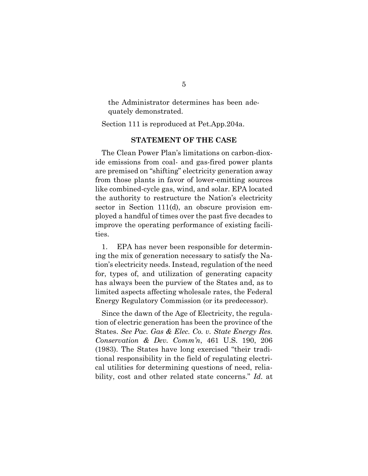the Administrator determines has been adequately demonstrated.

Section 111 is reproduced at Pet.App.204a.

#### **STATEMENT OF THE CASE**

The Clean Power Plan's limitations on carbon-dioxide emissions from coal- and gas-fired power plants are premised on "shifting" electricity generation away from those plants in favor of lower-emitting sources like combined-cycle gas, wind, and solar. EPA located the authority to restructure the Nation's electricity sector in Section 111(d), an obscure provision employed a handful of times over the past five decades to improve the operating performance of existing facilities.

1. EPA has never been responsible for determining the mix of generation necessary to satisfy the Nation's electricity needs. Instead, regulation of the need for, types of, and utilization of generating capacity has always been the purview of the States and, as to limited aspects affecting wholesale rates, the Federal Energy Regulatory Commission (or its predecessor).

Since the dawn of the Age of Electricity, the regulation of electric generation has been the province of the States. *See Pac. Gas & Elec. Co. v. State Energy Res. Conservation & Dev. Comm'n*, 461 U.S. 190, 206 (1983). The States have long exercised "their traditional responsibility in the field of regulating electrical utilities for determining questions of need, reliability, cost and other related state concerns." *Id*. at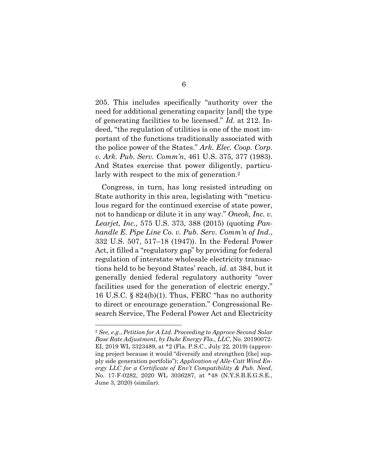205. This includes specifically "authority over the need for additional generating capacity [and] the type of generating facilities to be licensed." *Id*. at 212. Indeed, "the regulation of utilities is one of the most important of the functions traditionally associated with the police power of the States." *Ark. Elec. Coop. Corp. v. Ark. Pub. Serv. Comm'n*, 461 U.S. 375, 377 (1983). And States exercise that power diligently, particularly with respect to the mix of generation.<sup>2</sup>

Congress, in turn, has long resisted intruding on State authority in this area, legislating with "meticulous regard for the continued exercise of state power, not to handicap or dilute it in any way." *Oneok, Inc. v. Learjet, Inc.*, 575 U.S. 373, 388 (2015) (quoting *Panhandle E. Pipe Line Co. v. Pub. Serv. Comm'n of Ind*., 332 U.S. 507, 517–18 (1947)). In the Federal Power Act, it filled a "regulatory gap" by providing for federal regulation of interstate wholesale electricity transactions held to be beyond States' reach, *id*. at 384, but it generally denied federal regulatory authority "over facilities used for the generation of electric energy," 16 U.S.C. § 824(b)(1). Thus, FERC "has no authority to direct or encourage generation." Congressional Research Service, The Federal Power Act and Electricity

<sup>2</sup> *See, e.g.*, *Petition for A Ltd. Proceeding to Approve Second Solar Base Rate Adjustment, by Duke Energy Fla., LLC*, No. 20190072- EI, 2019 WL 3323489, at \*2 (Fla. P.S.C., July 22, 2019) (approving project because it would "diversify and strengthen [the] supply side generation portfolio"); *Application of Alle-Catt Wind Energy LLC for a Certificate of Env't Compatibility & Pub. Need*, No. 17-F-0282, 2020 WL 3036287, at \*48 (N.Y.S.B.E.G.S.E., June 3, 2020) (similar).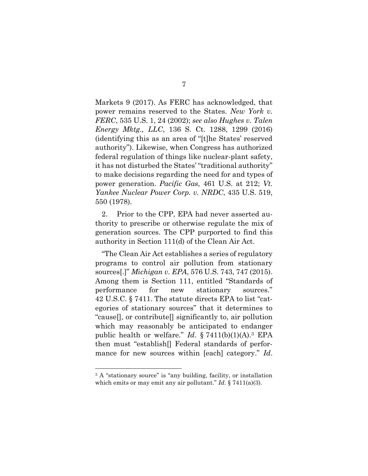Markets 9 (2017). As FERC has acknowledged, that power remains reserved to the States. *New York v. FERC*, 535 U.S. 1, 24 (2002); *see also Hughes v. Talen Energy Mktg., LLC*, 136 S. Ct. 1288, 1299 (2016) (identifying this as an area of "[t]he States' reserved authority"). Likewise, when Congress has authorized federal regulation of things like nuclear-plant safety, it has not disturbed the States' "traditional authority" to make decisions regarding the need for and types of power generation. *Pacific Gas*, 461 U.S. at 212; *Vt. Yankee Nuclear Power Corp. v. NRDC*, 435 U.S. 519, 550 (1978).

2. Prior to the CPP, EPA had never asserted authority to prescribe or otherwise regulate the mix of generation sources. The CPP purported to find this authority in Section 111(d) of the Clean Air Act.

"The Clean Air Act establishes a series of regulatory programs to control air pollution from stationary sources[.]" *Michigan v. EPA*, 576 U.S. 743, 747 (2015). Among them is Section 111, entitled "Standards of performance for new stationary sources." 42 U.S.C. § 7411. The statute directs EPA to list "categories of stationary sources" that it determines to "cause[], or contribute[] significantly to, air pollution which may reasonably be anticipated to endanger public health or welfare." *Id*. § 7411(b)(1)(A). <sup>3</sup> EPA then must "establish[] Federal standards of performance for new sources within [each] category." *Id*.

<sup>&</sup>lt;sup>3</sup> A "stationary source" is "any building, facility, or installation which emits or may emit any air pollutant." *Id*. § 7411(a)(3).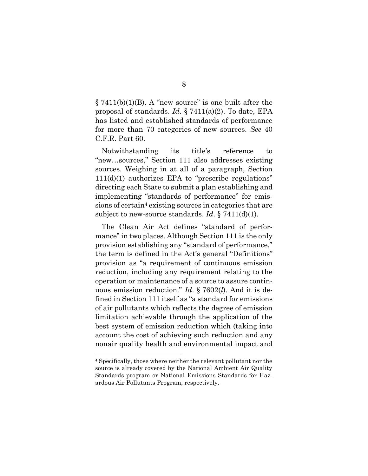$\S 7411(b)(1)(B)$ . A "new source" is one built after the proposal of standards. *Id*. § 7411(a)(2). To date, EPA has listed and established standards of performance for more than 70 categories of new sources. *See* 40 C.F.R. Part 60.

Notwithstanding its title's reference to "new…sources," Section 111 also addresses existing sources. Weighing in at all of a paragraph, Section  $111(d)(1)$  authorizes EPA to "prescribe regulations" directing each State to submit a plan establishing and implementing "standards of performance" for emissions of certain<sup>4</sup> existing sources in categories that are subject to new-source standards. *Id*. § 7411(d)(1).

The Clean Air Act defines "standard of performance" in two places. Although Section 111 is the only provision establishing any "standard of performance," the term is defined in the Act's general "Definitions" provision as "a requirement of continuous emission reduction, including any requirement relating to the operation or maintenance of a source to assure continuous emission reduction." *Id*. § 7602(*l*). And it is defined in Section 111 itself as "a standard for emissions of air pollutants which reflects the degree of emission limitation achievable through the application of the best system of emission reduction which (taking into account the cost of achieving such reduction and any nonair quality health and environmental impact and

<sup>4</sup> Specifically, those where neither the relevant pollutant nor the source is already covered by the National Ambient Air Quality Standards program or National Emissions Standards for Hazardous Air Pollutants Program, respectively.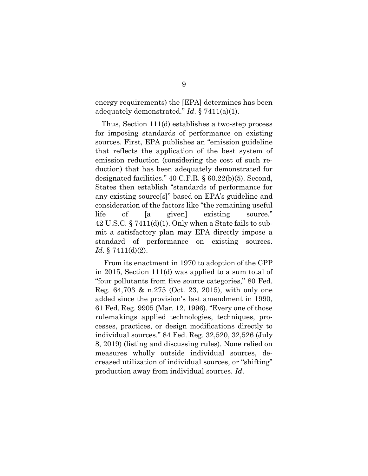energy requirements) the [EPA] determines has been adequately demonstrated." *Id*. § 7411(a)(1).

Thus, Section 111(d) establishes a two-step process for imposing standards of performance on existing sources. First, EPA publishes an "emission guideline that reflects the application of the best system of emission reduction (considering the cost of such reduction) that has been adequately demonstrated for designated facilities." 40 C.F.R. § 60.22(b)(5). Second, States then establish "standards of performance for any existing source[s]" based on EPA's guideline and consideration of the factors like "the remaining useful life of [a given] existing source." 42 U.S.C. § 7411(d)(1). Only when a State fails to submit a satisfactory plan may EPA directly impose a standard of performance on existing sources. *Id*. § 7411(d)(2).

From its enactment in 1970 to adoption of the CPP in 2015, Section 111(d) was applied to a sum total of "four pollutants from five source categories," 80 Fed. Reg. 64,703 & n.275 (Oct. 23, 2015), with only one added since the provision's last amendment in 1990, 61 Fed. Reg. 9905 (Mar. 12, 1996). "Every one of those rulemakings applied technologies, techniques, processes, practices, or design modifications directly to individual sources." 84 Fed. Reg. 32,520, 32,526 (July 8, 2019) (listing and discussing rules). None relied on measures wholly outside individual sources, decreased utilization of individual sources, or "shifting" production away from individual sources. *Id*.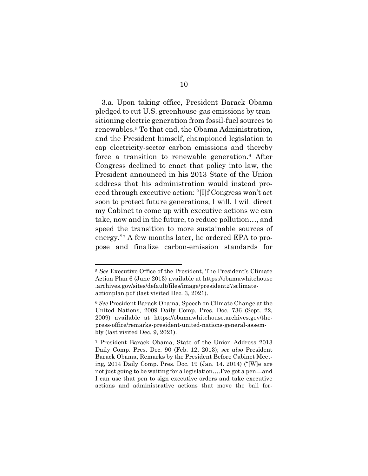3.a. Upon taking office, President Barack Obama pledged to cut U.S. greenhouse-gas emissions by transitioning electric generation from fossil-fuel sources to renewables.<sup>5</sup> To that end, the Obama Administration, and the President himself, championed legislation to cap electricity-sector carbon emissions and thereby force a transition to renewable generation. <sup>6</sup> After Congress declined to enact that policy into law, the President announced in his 2013 State of the Union address that his administration would instead proceed through executive action: "[I]f Congress won't act soon to protect future generations, I will. I will direct my Cabinet to come up with executive actions we can take, now and in the future, to reduce pollution…, and speed the transition to more sustainable sources of energy."<sup>7</sup> A few months later, he ordered EPA to propose and finalize carbon-emission standards for

<sup>5</sup> *See* Executive Office of the President, The President's Climate Action Plan 6 (June 2013) available at https://obamawhitehouse .archives.gov/sites/default/files/image/president27sclimateactionplan.pdf (last visited Dec. 3, 2021).

<sup>6</sup> *See* President Barack Obama, Speech on Climate Change at the United Nations, 2009 Daily Comp. Pres. Doc. 736 (Sept. 22, 2009) available at https://obamawhitehouse.archives.gov/thepress-office/remarks-president-united-nations-general-assembly (last visited Dec. 9, 2021).

<sup>7</sup> President Barack Obama, State of the Union Address 2013 Daily Comp. Pres. Doc. 90 (Feb. 12, 2013); *see also* President Barack Obama, Remarks by the President Before Cabinet Meeting, 2014 Daily Comp. Pres. Doc. 19 (Jan. 14. 2014) ("[W]e are not just going to be waiting for a legislation….I've got a pen…and I can use that pen to sign executive orders and take executive actions and administrative actions that move the ball for-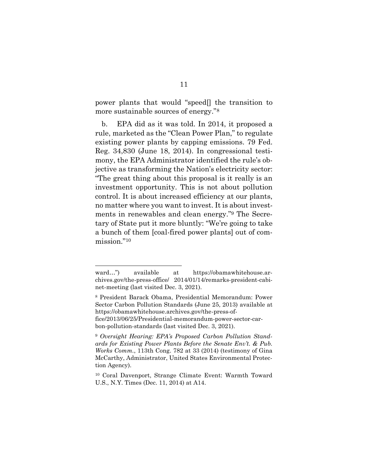power plants that would "speed[] the transition to more sustainable sources of energy."<sup>8</sup>

b. EPA did as it was told. In 2014, it proposed a rule, marketed as the "Clean Power Plan," to regulate existing power plants by capping emissions. 79 Fed. Reg. 34,830 (June 18, 2014). In congressional testimony, the EPA Administrator identified the rule's objective as transforming the Nation's electricity sector: "The great thing about this proposal is it really is an investment opportunity. This is not about pollution control. It is about increased efficiency at our plants, no matter where you want to invest. It is about investments in renewables and clean energy."<sup>9</sup> The Secretary of State put it more bluntly: "We're going to take a bunch of them [coal-fired power plants] out of commission."<sup>10</sup>

ward…") available at https://obamawhitehouse.archives.gov/the-press-office/ 2014/01/14/remarks-president-cabinet-meeting (last visited Dec. 3, 2021).

<sup>8</sup> President Barack Obama, Presidential Memorandum: Power Sector Carbon Pollution Standards (June 25, 2013) available at https://obamawhitehouse.archives.gov/the-press-office/2013/06/25/Presidential-memorandum-power-sector-carbon-pollution-standards (last visited Dec. 3, 2021).

<sup>9</sup> *Oversight Hearing: EPA's Proposed Carbon Pollution Standards for Existing Power Plants Before the Senate Env't. & Pub. Works Comm.*, 113th Cong. 782 at 33 (2014) (testimony of Gina McCarthy, Administrator, United States Environmental Protection Agency).

<sup>10</sup> Coral Davenport, Strange Climate Event: Warmth Toward U.S., N.Y. Times (Dec. 11, 2014) at A14.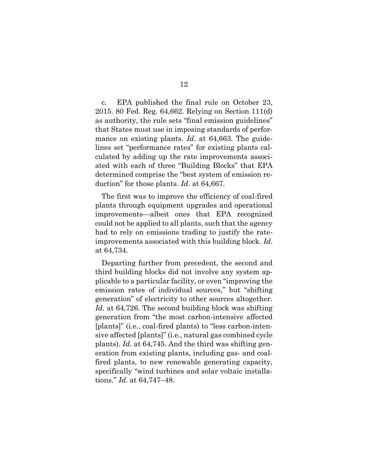c. EPA published the final rule on October 23, 2015. 80 Fed. Reg. 64,662. Relying on Section 111(d) as authority, the rule sets "final emission guidelines" that States must use in imposing standards of performance on existing plants. *Id*. at 64,663. The guidelines set "performance rates" for existing plants calculated by adding up the rate improvements associated with each of three "Building Blocks" that EPA determined comprise the "best system of emission reduction" for those plants. *Id*. at 64,667.

The first was to improve the efficiency of coal-fired plants through equipment upgrades and operational improvements—albeit ones that EPA recognized could not be applied to all plants, such that the agency had to rely on emissions trading to justify the rateimprovements associated with this building block. *Id*. at 64,734.

Departing further from precedent, the second and third building blocks did not involve any system applicable to a particular facility, or even "improving the emission rates of individual sources," but "shifting generation" of electricity to other sources altogether. Id. at 64,726. The second building block was shifting generation from "the most carbon-intensive affected [plants]" (i.e., coal-fired plants) to "less carbon-intensive affected [plants]" (i.e., natural gas combined cycle plants). *Id*. at 64,745. And the third was shifting generation from existing plants, including gas- and coalfired plants, to new renewable generating capacity, specifically "wind turbines and solar voltaic installations." *Id*. at 64,747–48.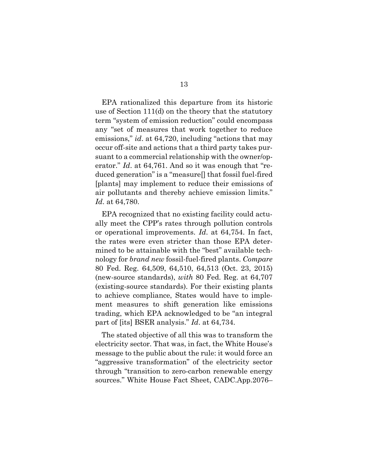EPA rationalized this departure from its historic use of Section 111(d) on the theory that the statutory term "system of emission reduction" could encompass any "set of measures that work together to reduce emissions," *id*. at 64,720, including "actions that may occur off-site and actions that a third party takes pursuant to a commercial relationship with the owner/operator." *Id.* at 64,761. And so it was enough that "reduced generation" is a "measure[] that fossil fuel-fired [plants] may implement to reduce their emissions of air pollutants and thereby achieve emission limits." *Id*. at 64,780.

EPA recognized that no existing facility could actually meet the CPP's rates through pollution controls or operational improvements. *Id*. at 64,754. In fact, the rates were even stricter than those EPA determined to be attainable with the "best" available technology for *brand new* fossil-fuel-fired plants. *Compare* 80 Fed. Reg. 64,509, 64,510, 64,513 (Oct. 23, 2015) (new-source standards), *with* 80 Fed. Reg. at 64,707 (existing-source standards). For their existing plants to achieve compliance, States would have to implement measures to shift generation like emissions trading, which EPA acknowledged to be "an integral part of [its] BSER analysis." *Id*. at 64,734.

The stated objective of all this was to transform the electricity sector. That was, in fact, the White House's message to the public about the rule: it would force an "aggressive transformation" of the electricity sector through "transition to zero-carbon renewable energy sources." White House Fact Sheet, CADC.App.2076–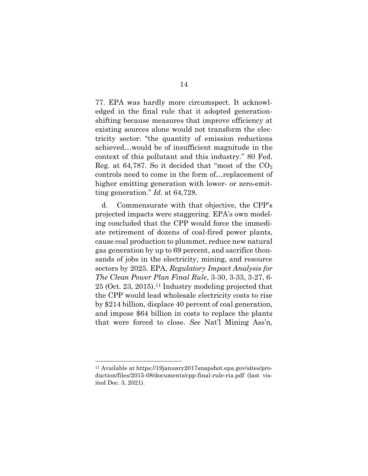77. EPA was hardly more circumspect. It acknowledged in the final rule that it adopted generationshifting because measures that improve efficiency at existing sources alone would not transform the electricity sector: "the quantity of emission reductions achieved…would be of insufficient magnitude in the context of this pollutant and this industry." 80 Fed. Reg. at 64,787. So it decided that "most of the  $CO<sub>2</sub>$ controls need to come in the form of…replacement of higher emitting generation with lower- or zero-emitting generation." *Id*. at 64,728.

d. Commensurate with that objective, the CPP's projected impacts were staggering. EPA's own modeling concluded that the CPP would force the immediate retirement of dozens of coal-fired power plants, cause coal production to plummet, reduce new natural gas generation by up to 69 percent, and sacrifice thousands of jobs in the electricity, mining, and resource sectors by 2025. EPA, *Regulatory Impact Analysis for The Clean Power Plan Final Rule*, 3-30, 3-33, 3-27, 6- 25 (Oct. 23, 2015). <sup>11</sup> Industry modeling projected that the CPP would lead wholesale electricity costs to rise by \$214 billion, displace 40 percent of coal generation, and impose \$64 billion in costs to replace the plants that were forced to close. *See* Nat'l Mining Ass'n,

<sup>11</sup> Available at https://19january2017snapshot.epa.gov/sites/production/files/2015-08/documents/cpp-final-rule-ria.pdf (last visited Dec. 3, 2021).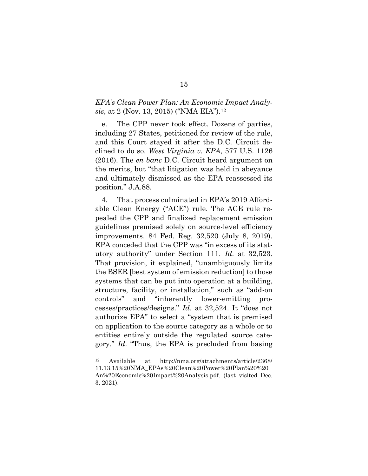### *EPA's Clean Power Plan: An Economic Impact Analysis*, at 2 (Nov. 13, 2015) ("NMA EIA").<sup>12</sup>

e. The CPP never took effect. Dozens of parties, including 27 States, petitioned for review of the rule, and this Court stayed it after the D.C. Circuit declined to do so. *West Virginia v. EPA*, 577 U.S. 1126 (2016). The *en banc* D.C. Circuit heard argument on the merits, but "that litigation was held in abeyance and ultimately dismissed as the EPA reassessed its position." J.A.88.

4. That process culminated in EPA's 2019 Affordable Clean Energy ("ACE") rule. The ACE rule repealed the CPP and finalized replacement emission guidelines premised solely on source-level efficiency improvements. 84 Fed. Reg. 32,520 (July 8, 2019). EPA conceded that the CPP was "in excess of its statutory authority" under Section 111. *Id*. at 32,523. That provision, it explained, "unambiguously limits the BSER [best system of emission reduction] to those systems that can be put into operation at a building, structure, facility, or installation," such as "add-on controls" and "inherently lower-emitting processes/practices/designs." *Id*. at 32,524. It "does not authorize EPA" to select a "system that is premised on application to the source category as a whole or to entities entirely outside the regulated source category." *Id*. "Thus, the EPA is precluded from basing

<sup>12</sup> Available at http://nma.org/attachments/article/2368/ 11.13.15%20NMA\_EPAs%20Clean%20Power%20Plan%20%20 An%20Economic%20Impact%20Analysis.pdf. (last visited Dec. 3, 2021).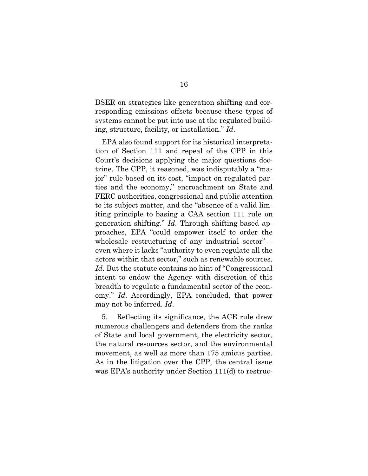BSER on strategies like generation shifting and corresponding emissions offsets because these types of systems cannot be put into use at the regulated building, structure, facility, or installation." *Id*.

EPA also found support for its historical interpretation of Section 111 and repeal of the CPP in this Court's decisions applying the major questions doctrine. The CPP, it reasoned, was indisputably a "major" rule based on its cost, "impact on regulated parties and the economy," encroachment on State and FERC authorities, congressional and public attention to its subject matter, and the "absence of a valid limiting principle to basing a CAA section 111 rule on generation shifting." *Id*. Through shifting-based approaches, EPA "could empower itself to order the wholesale restructuring of any industrial sector" even where it lacks "authority to even regulate all the actors within that sector," such as renewable sources. *Id*. But the statute contains no hint of "Congressional intent to endow the Agency with discretion of this breadth to regulate a fundamental sector of the economy." *Id*. Accordingly, EPA concluded, that power may not be inferred. *Id*.

5. Reflecting its significance, the ACE rule drew numerous challengers and defenders from the ranks of State and local government, the electricity sector, the natural resources sector, and the environmental movement, as well as more than 175 amicus parties. As in the litigation over the CPP, the central issue was EPA's authority under Section 111(d) to restruc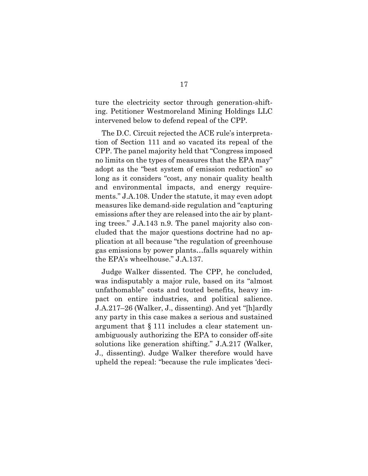ture the electricity sector through generation-shifting. Petitioner Westmoreland Mining Holdings LLC intervened below to defend repeal of the CPP.

The D.C. Circuit rejected the ACE rule's interpretation of Section 111 and so vacated its repeal of the CPP. The panel majority held that "Congress imposed no limits on the types of measures that the EPA may" adopt as the "best system of emission reduction" so long as it considers "cost, any nonair quality health and environmental impacts, and energy requirements." J.A.108. Under the statute, it may even adopt measures like demand-side regulation and "capturing emissions after they are released into the air by planting trees." J.A.143 n.9. The panel majority also concluded that the major questions doctrine had no application at all because "the regulation of greenhouse gas emissions by power plants…falls squarely within the EPA's wheelhouse." J.A.137.

Judge Walker dissented. The CPP, he concluded, was indisputably a major rule, based on its "almost unfathomable" costs and touted benefits, heavy impact on entire industries, and political salience. J.A.217–26 (Walker, J., dissenting). And yet "[h]ardly any party in this case makes a serious and sustained argument that § 111 includes a clear statement unambiguously authorizing the EPA to consider off-site solutions like generation shifting." J.A.217 (Walker, J., dissenting). Judge Walker therefore would have upheld the repeal: "because the rule implicates 'deci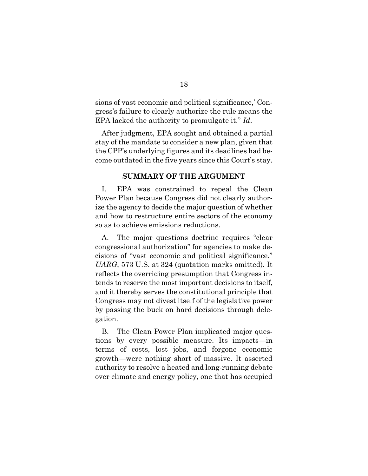sions of vast economic and political significance,' Congress's failure to clearly authorize the rule means the EPA lacked the authority to promulgate it." *Id*.

After judgment, EPA sought and obtained a partial stay of the mandate to consider a new plan, given that the CPP's underlying figures and its deadlines had become outdated in the five years since this Court's stay.

#### **SUMMARY OF THE ARGUMENT**

I. EPA was constrained to repeal the Clean Power Plan because Congress did not clearly authorize the agency to decide the major question of whether and how to restructure entire sectors of the economy so as to achieve emissions reductions.

A. The major questions doctrine requires "clear congressional authorization" for agencies to make decisions of "vast economic and political significance." *UARG*, 573 U.S. at 324 (quotation marks omitted). It reflects the overriding presumption that Congress intends to reserve the most important decisions to itself, and it thereby serves the constitutional principle that Congress may not divest itself of the legislative power by passing the buck on hard decisions through delegation.

B. The Clean Power Plan implicated major questions by every possible measure. Its impacts—in terms of costs, lost jobs, and forgone economic growth—were nothing short of massive. It asserted authority to resolve a heated and long-running debate over climate and energy policy, one that has occupied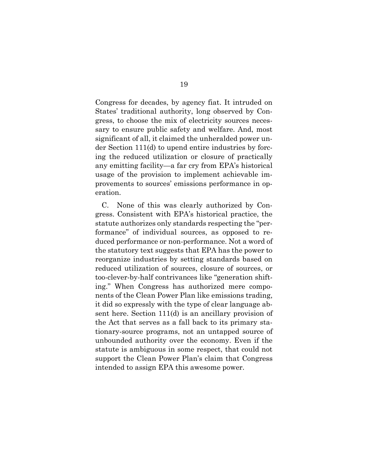Congress for decades, by agency fiat. It intruded on States' traditional authority, long observed by Congress, to choose the mix of electricity sources necessary to ensure public safety and welfare. And, most significant of all, it claimed the unheralded power under Section 111(d) to upend entire industries by forcing the reduced utilization or closure of practically any emitting facility—a far cry from EPA's historical usage of the provision to implement achievable improvements to sources' emissions performance in operation.

C. None of this was clearly authorized by Congress. Consistent with EPA's historical practice, the statute authorizes only standards respecting the "performance" of individual sources, as opposed to reduced performance or non-performance. Not a word of the statutory text suggests that EPA has the power to reorganize industries by setting standards based on reduced utilization of sources, closure of sources, or too-clever-by-half contrivances like "generation shifting." When Congress has authorized mere components of the Clean Power Plan like emissions trading, it did so expressly with the type of clear language absent here. Section 111(d) is an ancillary provision of the Act that serves as a fall back to its primary stationary-source programs, not an untapped source of unbounded authority over the economy. Even if the statute is ambiguous in some respect, that could not support the Clean Power Plan's claim that Congress intended to assign EPA this awesome power.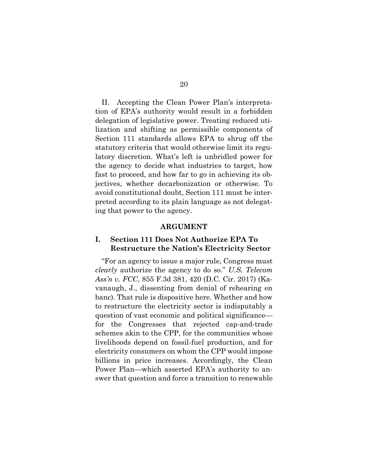II. Accepting the Clean Power Plan's interpretation of EPA's authority would result in a forbidden delegation of legislative power. Treating reduced utilization and shifting as permissible components of Section 111 standards allows EPA to shrug off the statutory criteria that would otherwise limit its regulatory discretion. What's left is unbridled power for the agency to decide what industries to target, how fast to proceed, and how far to go in achieving its objectives, whether decarbonization or otherwise. To avoid constitutional doubt, Section 111 must be interpreted according to its plain language as not delegating that power to the agency.

#### **ARGUMENT**

#### **I. Section 111 Does Not Authorize EPA To Restructure the Nation's Electricity Sector**

"For an agency to issue a major rule, Congress must *clearly* authorize the agency to do so." *U.S. Telecom Ass'n v. FCC*, 855 F.3d 381, 420 (D.C. Cir. 2017) (Kavanaugh, J., dissenting from denial of rehearing en banc). That rule is dispositive here. Whether and how to restructure the electricity sector is indisputably a question of vast economic and political significance for the Congresses that rejected cap-and-trade schemes akin to the CPP, for the communities whose livelihoods depend on fossil-fuel production, and for electricity consumers on whom the CPP would impose billions in price increases. Accordingly, the Clean Power Plan—which asserted EPA's authority to answer that question and force a transition to renewable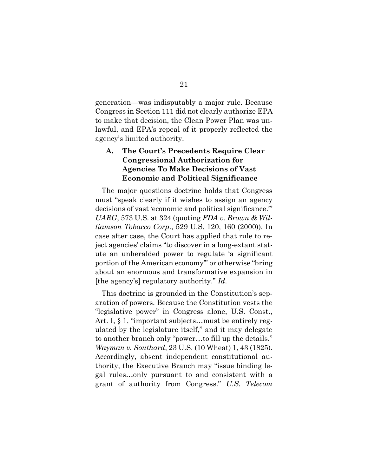generation—was indisputably a major rule. Because Congress in Section 111 did not clearly authorize EPA to make that decision, the Clean Power Plan was unlawful, and EPA's repeal of it properly reflected the agency's limited authority.

### **A. The Court's Precedents Require Clear Congressional Authorization for Agencies To Make Decisions of Vast Economic and Political Significance**

The major questions doctrine holds that Congress must "speak clearly if it wishes to assign an agency decisions of vast 'economic and political significance.'" *UARG*, 573 U.S. at 324 (quoting *FDA v. Brown & Williamson Tobacco Corp*., 529 U.S. 120, 160 (2000)). In case after case, the Court has applied that rule to reject agencies' claims "to discover in a long-extant statute an unheralded power to regulate 'a significant portion of the American economy'" or otherwise "bring about an enormous and transformative expansion in [the agency's] regulatory authority." *Id*.

This doctrine is grounded in the Constitution's separation of powers. Because the Constitution vests the "legislative power" in Congress alone, U.S. Const., Art. I, § 1, "important subjects...must be entirely regulated by the legislature itself," and it may delegate to another branch only "power…to fill up the details." *Wayman v. Southard*, 23 U.S. (10 Wheat) 1, 43 (1825). Accordingly, absent independent constitutional authority, the Executive Branch may "issue binding legal rules…only pursuant to and consistent with a grant of authority from Congress." *U.S. Telecom*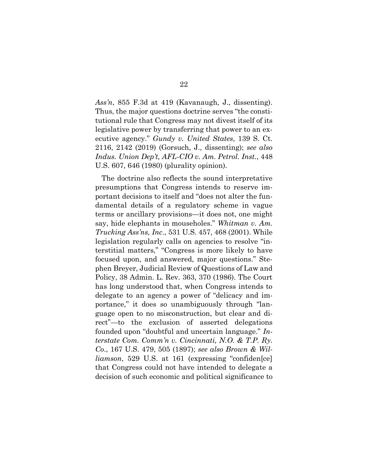*Ass'n*, 855 F.3d at 419 (Kavanaugh, J., dissenting). Thus, the major questions doctrine serves "the constitutional rule that Congress may not divest itself of its legislative power by transferring that power to an executive agency." *Gundy v. United States*, 139 S. Ct. 2116, 2142 (2019) (Gorsuch, J., dissenting); *see also Indus. Union Dep't, AFL-CIO v. Am. Petrol. Inst.*, 448 U.S. 607, 646 (1980) (plurality opinion).

The doctrine also reflects the sound interpretative presumptions that Congress intends to reserve important decisions to itself and "does not alter the fundamental details of a regulatory scheme in vague terms or ancillary provisions—it does not, one might say, hide elephants in mouseholes." *Whitman v. Am. Trucking Ass'ns, Inc*., 531 U.S. 457, 468 (2001). While legislation regularly calls on agencies to resolve "interstitial matters," "Congress is more likely to have focused upon, and answered, major questions." Stephen Breyer, Judicial Review of Questions of Law and Policy, 38 Admin. L. Rev. 363, 370 (1986). The Court has long understood that, when Congress intends to delegate to an agency a power of "delicacy and importance," it does so unambiguously through "language open to no misconstruction, but clear and direct"—to the exclusion of asserted delegations founded upon "doubtful and uncertain language." *Interstate Com. Comm'n v. Cincinnati, N.O. & T.P. Ry. Co*., 167 U.S. 479, 505 (1897); *see also Brown & Williamson*, 529 U.S. at 161 (expressing "confiden[ce] that Congress could not have intended to delegate a decision of such economic and political significance to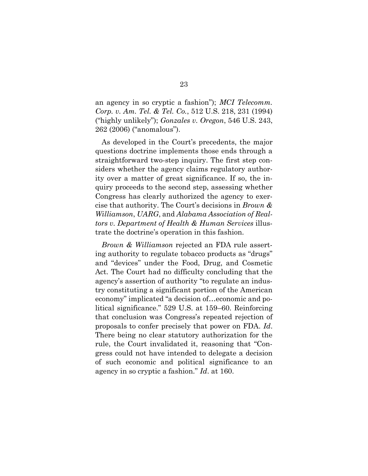an agency in so cryptic a fashion"); *MCI Telecomm. Corp. v. Am. Tel. & Tel. Co.*, 512 U.S. 218, 231 (1994) ("highly unlikely"); *Gonzales v. Oregon*, 546 U.S. 243, 262 (2006) ("anomalous").

As developed in the Court's precedents, the major questions doctrine implements those ends through a straightforward two-step inquiry. The first step considers whether the agency claims regulatory authority over a matter of great significance. If so, the inquiry proceeds to the second step, assessing whether Congress has clearly authorized the agency to exercise that authority. The Court's decisions in *Brown & Williamson*, *UARG*, and *Alabama Association of Realtors v. Department of Health & Human Services* illustrate the doctrine's operation in this fashion.

*Brown & Williamson* rejected an FDA rule asserting authority to regulate tobacco products as "drugs" and "devices" under the Food, Drug, and Cosmetic Act. The Court had no difficulty concluding that the agency's assertion of authority "to regulate an industry constituting a significant portion of the American economy" implicated "a decision of…economic and political significance." 529 U.S. at 159–60. Reinforcing that conclusion was Congress's repeated rejection of proposals to confer precisely that power on FDA. *Id*. There being no clear statutory authorization for the rule, the Court invalidated it, reasoning that "Congress could not have intended to delegate a decision of such economic and political significance to an agency in so cryptic a fashion." *Id*. at 160.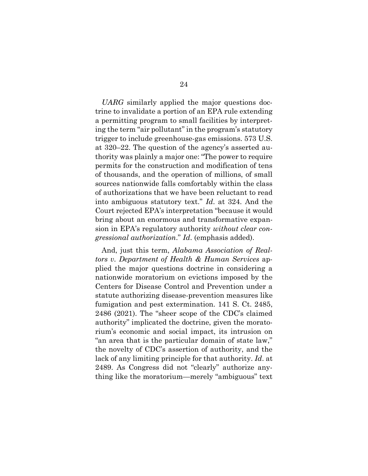*UARG* similarly applied the major questions doctrine to invalidate a portion of an EPA rule extending a permitting program to small facilities by interpreting the term "air pollutant" in the program's statutory trigger to include greenhouse-gas emissions. 573 U.S. at 320–22. The question of the agency's asserted authority was plainly a major one: "The power to require permits for the construction and modification of tens of thousands, and the operation of millions, of small sources nationwide falls comfortably within the class of authorizations that we have been reluctant to read into ambiguous statutory text." *Id*. at 324. And the Court rejected EPA's interpretation "because it would bring about an enormous and transformative expansion in EPA's regulatory authority *without clear congressional authorization*." *Id*. (emphasis added).

And, just this term, *Alabama Association of Realtors v. Department of Health & Human Services* applied the major questions doctrine in considering a nationwide moratorium on evictions imposed by the Centers for Disease Control and Prevention under a statute authorizing disease-prevention measures like fumigation and pest extermination. 141 S. Ct. 2485, 2486 (2021). The "sheer scope of the CDC's claimed authority" implicated the doctrine, given the moratorium's economic and social impact, its intrusion on "an area that is the particular domain of state law," the novelty of CDC's assertion of authority, and the lack of any limiting principle for that authority. *Id*. at 2489. As Congress did not "clearly" authorize anything like the moratorium—merely "ambiguous" text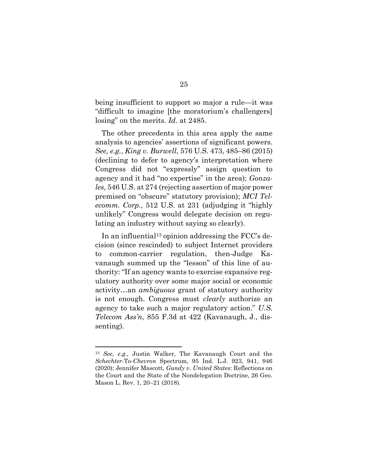being insufficient to support so major a rule—it was "difficult to imagine [the moratorium's challengers] losing" on the merits. *Id*. at 2485.

The other precedents in this area apply the same analysis to agencies' assertions of significant powers. *See, e.g.*, *King v. Burwell*, 576 U.S. 473, 485–86 (2015) (declining to defer to agency's interpretation where Congress did not "expressly" assign question to agency and it had "no expertise" in the area); *Gonzales*, 546 U.S. at 274 (rejecting assertion of major power premised on "obscure" statutory provision); *MCI Telecomm. Corp.*, 512 U.S. at 231 (adjudging it "highly unlikely" Congress would delegate decision on regulating an industry without saying so clearly).

In an influential<sup>13</sup> opinion addressing the  $\text{FCC's}\$  decision (since rescinded) to subject Internet providers to common-carrier regulation, then-Judge Kavanaugh summed up the "lesson" of this line of authority: "If an agency wants to exercise expansive regulatory authority over some major social or economic activity…an *ambiguous* grant of statutory authority is not enough. Congress must *clearly* authorize an agency to take such a major regulatory action." *U.S. Telecom Ass'n*, 855 F.3d at 422 (Kavanaugh, J., dissenting).

<sup>13</sup> *See, e.g.,* Justin Walker, The Kavanaugh Court and the *Schechter*-To-*Chevron* Spectrum, 95 Ind. L.J. 923, 941, 946 (2020); Jennifer Mascott, *Gundy v. United States*: Reflections on the Court and the State of the Nondelegation Doctrine, 26 Geo. Mason L. Rev. 1, 20–21 (2018).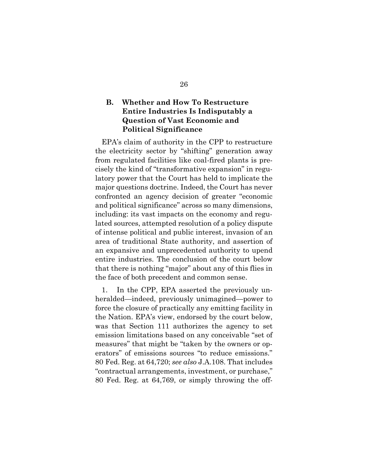### **B. Whether and How To Restructure Entire Industries Is Indisputably a Question of Vast Economic and Political Significance**

EPA's claim of authority in the CPP to restructure the electricity sector by "shifting" generation away from regulated facilities like coal-fired plants is precisely the kind of "transformative expansion" in regulatory power that the Court has held to implicate the major questions doctrine. Indeed, the Court has never confronted an agency decision of greater "economic and political significance" across so many dimensions, including: its vast impacts on the economy and regulated sources, attempted resolution of a policy dispute of intense political and public interest, invasion of an area of traditional State authority, and assertion of an expansive and unprecedented authority to upend entire industries. The conclusion of the court below that there is nothing "major" about any of this flies in the face of both precedent and common sense.

1. In the CPP, EPA asserted the previously unheralded—indeed, previously unimagined—power to force the closure of practically any emitting facility in the Nation. EPA's view, endorsed by the court below, was that Section 111 authorizes the agency to set emission limitations based on any conceivable "set of measures" that might be "taken by the owners or operators" of emissions sources "to reduce emissions." 80 Fed. Reg. at 64,720; *see also* J.A.108. That includes "contractual arrangements, investment, or purchase," 80 Fed. Reg. at 64,769, or simply throwing the off-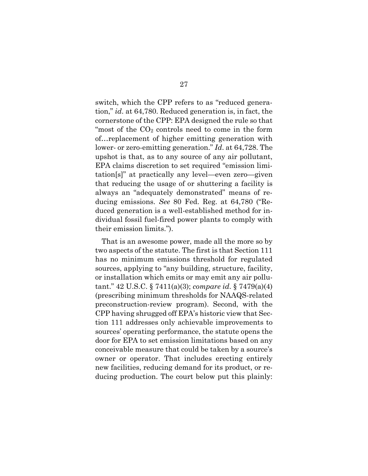switch, which the CPP refers to as "reduced generation," *id*. at 64,780. Reduced generation is, in fact, the cornerstone of the CPP: EPA designed the rule so that "most of the  $CO<sub>2</sub>$  controls need to come in the form of…replacement of higher emitting generation with lower- or zero-emitting generation." *Id*. at 64,728. The upshot is that, as to any source of any air pollutant, EPA claims discretion to set required "emission limitation[s]" at practically any level—even zero—given that reducing the usage of or shuttering a facility is always an "adequately demonstrated" means of reducing emissions. *See* 80 Fed. Reg. at 64,780 ("Reduced generation is a well-established method for individual fossil fuel-fired power plants to comply with their emission limits.").

That is an awesome power, made all the more so by two aspects of the statute. The first is that Section 111 has no minimum emissions threshold for regulated sources, applying to "any building, structure, facility, or installation which emits or may emit any air pollutant." 42 U.S.C. § 7411(a)(3); *compare id*. § 7479(a)(4) (prescribing minimum thresholds for NAAQS-related preconstruction-review program). Second, with the CPP having shrugged off EPA's historic view that Section 111 addresses only achievable improvements to sources' operating performance, the statute opens the door for EPA to set emission limitations based on any conceivable measure that could be taken by a source's owner or operator. That includes erecting entirely new facilities, reducing demand for its product, or reducing production. The court below put this plainly: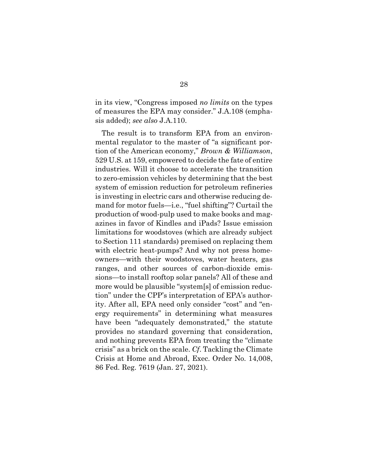in its view, "Congress imposed *no limits* on the types of measures the EPA may consider." J.A.108 (emphasis added); *see also* J.A.110.

The result is to transform EPA from an environmental regulator to the master of "a significant portion of the American economy," *Brown & Williamson*, 529 U.S. at 159, empowered to decide the fate of entire industries. Will it choose to accelerate the transition to zero-emission vehicles by determining that the best system of emission reduction for petroleum refineries is investing in electric cars and otherwise reducing demand for motor fuels—i.e., "fuel shifting"? Curtail the production of wood-pulp used to make books and magazines in favor of Kindles and iPads? Issue emission limitations for woodstoves (which are already subject to Section 111 standards) premised on replacing them with electric heat-pumps? And why not press homeowners—with their woodstoves, water heaters, gas ranges, and other sources of carbon-dioxide emissions—to install rooftop solar panels? All of these and more would be plausible "system[s] of emission reduction" under the CPP's interpretation of EPA's authority. After all, EPA need only consider "cost" and "energy requirements" in determining what measures have been "adequately demonstrated," the statute provides no standard governing that consideration, and nothing prevents EPA from treating the "climate crisis" as a brick on the scale. *Cf*. Tackling the Climate Crisis at Home and Abroad, Exec. Order No. 14,008, 86 Fed. Reg. 7619 (Jan. 27, 2021).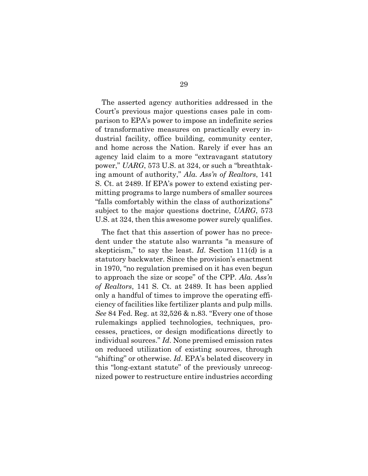The asserted agency authorities addressed in the Court's previous major questions cases pale in comparison to EPA's power to impose an indefinite series of transformative measures on practically every industrial facility, office building, community center, and home across the Nation. Rarely if ever has an agency laid claim to a more "extravagant statutory power," *UARG*, 573 U.S. at 324, or such a "breathtaking amount of authority," *Ala. Ass'n of Realtors*, 141 S. Ct. at 2489. If EPA's power to extend existing permitting programs to large numbers of smaller sources "falls comfortably within the class of authorizations" subject to the major questions doctrine, *UARG*, 573 U.S. at 324, then this awesome power surely qualifies.

The fact that this assertion of power has no precedent under the statute also warrants "a measure of skepticism," to say the least. *Id.* Section 111(d) is a statutory backwater. Since the provision's enactment in 1970, "no regulation premised on it has even begun to approach the size or scope" of the CPP. *Ala. Ass'n of Realtors*, 141 S. Ct. at 2489. It has been applied only a handful of times to improve the operating efficiency of facilities like fertilizer plants and pulp mills. *See* 84 Fed. Reg. at 32,526 & n.83. "Every one of those rulemakings applied technologies, techniques, processes, practices, or design modifications directly to individual sources." *Id*. None premised emission rates on reduced utilization of existing sources, through "shifting" or otherwise. *Id*. EPA's belated discovery in this "long-extant statute" of the previously unrecognized power to restructure entire industries according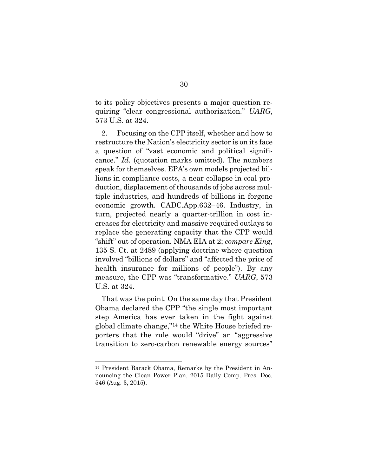to its policy objectives presents a major question requiring "clear congressional authorization." *UARG*, 573 U.S. at 324.

2. Focusing on the CPP itself, whether and how to restructure the Nation's electricity sector is on its face a question of "vast economic and political significance." *Id.* (quotation marks omitted). The numbers speak for themselves. EPA's own models projected billions in compliance costs, a near-collapse in coal production, displacement of thousands of jobs across multiple industries, and hundreds of billions in forgone economic growth. CADC.App.632–46. Industry, in turn, projected nearly a quarter-trillion in cost increases for electricity and massive required outlays to replace the generating capacity that the CPP would "shift" out of operation. NMA EIA at 2; *compare King*, 135 S. Ct. at 2489 (applying doctrine where question involved "billions of dollars" and "affected the price of health insurance for millions of people"). By any measure, the CPP was "transformative." *UARG*, 573 U.S. at 324.

That was the point. On the same day that President Obama declared the CPP "the single most important step America has ever taken in the fight against global climate change,"<sup>14</sup> the White House briefed reporters that the rule would "drive" an "aggressive transition to zero-carbon renewable energy sources"

<sup>14</sup> President Barack Obama, Remarks by the President in Announcing the Clean Power Plan, 2015 Daily Comp. Pres. Doc. 546 (Aug. 3, 2015).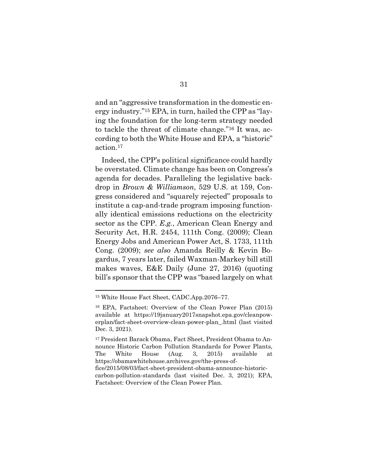and an "aggressive transformation in the domestic energy industry."<sup>15</sup> EPA, in turn, hailed the CPP as "laying the foundation for the long-term strategy needed to tackle the threat of climate change."<sup>16</sup> It was, according to both the White House and EPA, a "historic" action.<sup>17</sup>

Indeed, the CPP's political significance could hardly be overstated. Climate change has been on Congress's agenda for decades. Paralleling the legislative backdrop in *Brown & Williamson*, 529 U.S. at 159, Congress considered and "squarely rejected" proposals to institute a cap-and-trade program imposing functionally identical emissions reductions on the electricity sector as the CPP. *E.g.*, American Clean Energy and Security Act, H.R. 2454, 111th Cong. (2009); Clean Energy Jobs and American Power Act, S. 1733, 111th Cong. (2009); *see also* Amanda Reilly & Kevin Bogardus, 7 years later, failed Waxman-Markey bill still makes waves, E&E Daily (June 27, 2016) (quoting bill's sponsor that the CPP was "based largely on what

<sup>15</sup> White House Fact Sheet, CADC.App.2076–77.

<sup>16</sup> EPA, Factsheet: Overview of the Clean Power Plan (2015) available at https://19january2017snapshot.epa.gov/cleanpowerplan/fact-sheet-overview-clean-power-plan\_.html (last visited Dec. 3, 2021).

<sup>17</sup> President Barack Obama, Fact Sheet, President Obama to Announce Historic Carbon Pollution Standards for Power Plants, The White House (Aug. 3, 2015) available at https://obamawhitehouse.archives.gov/the-press-office/2015/08/03/fact-sheet-president-obama-announce-historiccarbon-pollution-standards (last visited Dec. 3, 2021); EPA, Factsheet: Overview of the Clean Power Plan.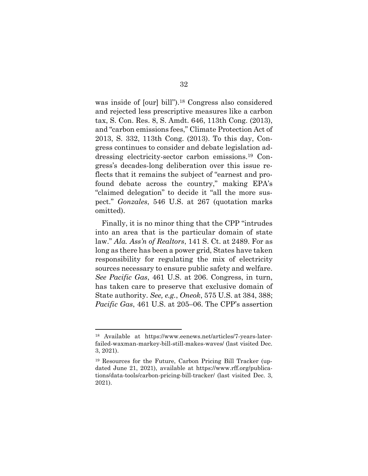was inside of [our] bill").<sup>18</sup> Congress also considered and rejected less prescriptive measures like a carbon tax, S. Con. Res. 8, S. Amdt. 646, 113th Cong. (2013), and "carbon emissions fees," Climate Protection Act of 2013, S. 332, 113th Cong. (2013). To this day, Congress continues to consider and debate legislation addressing electricity-sector carbon emissions.<sup>19</sup> Congress's decades-long deliberation over this issue reflects that it remains the subject of "earnest and profound debate across the country," making EPA's "claimed delegation" to decide it "all the more suspect." *Gonzales*, 546 U.S. at 267 (quotation marks omitted).

Finally, it is no minor thing that the CPP "intrudes into an area that is the particular domain of state law." *Ala. Ass'n of Realtors*, 141 S. Ct. at 2489. For as long as there has been a power grid, States have taken responsibility for regulating the mix of electricity sources necessary to ensure public safety and welfare. *See Pacific Gas*, 461 U.S. at 206. Congress, in turn, has taken care to preserve that exclusive domain of State authority. *See, e.g.*, *Oneok*, 575 U.S. at 384, 388; *Pacific Gas*, 461 U.S. at 205–06. The CPP's assertion

<sup>18</sup> Available at https://www.eenews.net/articles/7-years-laterfailed-waxman-markey-bill-still-makes-waves/ (last visited Dec. 3, 2021).

<sup>19</sup> Resources for the Future, Carbon Pricing Bill Tracker (updated June 21, 2021), available at https://www.rff.org/publications/data-tools/carbon-pricing-bill-tracker/ (last visited Dec. 3, 2021).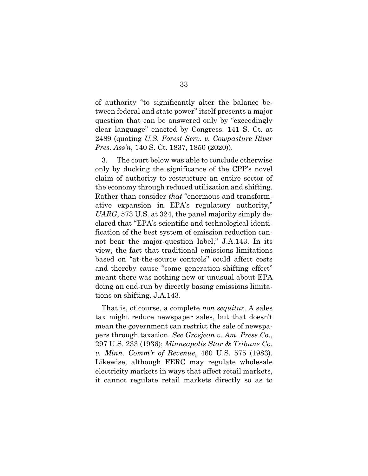of authority "to significantly alter the balance between federal and state power" itself presents a major question that can be answered only by "exceedingly clear language" enacted by Congress. 141 S. Ct. at 2489 (quoting *U.S. Forest Serv. v. Cowpasture River Pres. Ass'n*, 140 S. Ct. 1837, 1850 (2020)).

3. The court below was able to conclude otherwise only by ducking the significance of the CPP's novel claim of authority to restructure an entire sector of the economy through reduced utilization and shifting. Rather than consider *that* "enormous and transformative expansion in EPA's regulatory authority," *UARG*, 573 U.S. at 324, the panel majority simply declared that "EPA's scientific and technological identification of the best system of emission reduction cannot bear the major-question label," J.A.143. In its view, the fact that traditional emissions limitations based on "at-the-source controls" could affect costs and thereby cause "some generation-shifting effect" meant there was nothing new or unusual about EPA doing an end-run by directly basing emissions limitations on shifting. J.A.143.

That is, of course, a complete *non sequitur*. A sales tax might reduce newspaper sales, but that doesn't mean the government can restrict the sale of newspapers through taxation. *See Grosjean v. Am. Press Co*., 297 U.S. 233 (1936); *Minneapolis Star & Tribune Co. v. Minn. Comm'r of Revenue*, 460 U.S. 575 (1983). Likewise, although FERC may regulate wholesale electricity markets in ways that affect retail markets, it cannot regulate retail markets directly so as to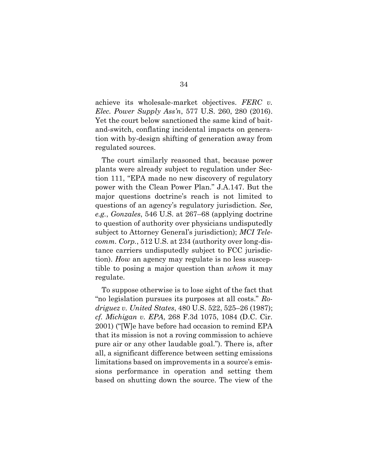achieve its wholesale-market objectives. *FERC v. Elec. Power Supply Ass'n*, 577 U.S. 260, 280 (2016). Yet the court below sanctioned the same kind of baitand-switch, conflating incidental impacts on generation with by-design shifting of generation away from regulated sources.

The court similarly reasoned that, because power plants were already subject to regulation under Section 111, "EPA made no new discovery of regulatory power with the Clean Power Plan." J.A.147. But the major questions doctrine's reach is not limited to questions of an agency's regulatory jurisdiction. *See, e.g.*, *Gonzales*, 546 U.S. at 267–68 (applying doctrine to question of authority over physicians undisputedly subject to Attorney General's jurisdiction); *MCI Telecomm. Corp.*, 512 U.S. at 234 (authority over long-distance carriers undisputedly subject to FCC jurisdiction). *How* an agency may regulate is no less susceptible to posing a major question than *whom* it may regulate.

To suppose otherwise is to lose sight of the fact that "no legislation pursues its purposes at all costs." *Rodriguez v. United States*, 480 U.S. 522, 525–26 (1987); *cf. Michigan v. EPA*, 268 F.3d 1075, 1084 (D.C. Cir. 2001) ("[W]e have before had occasion to remind EPA that its mission is not a roving commission to achieve pure air or any other laudable goal."). There is, after all, a significant difference between setting emissions limitations based on improvements in a source's emissions performance in operation and setting them based on shutting down the source. The view of the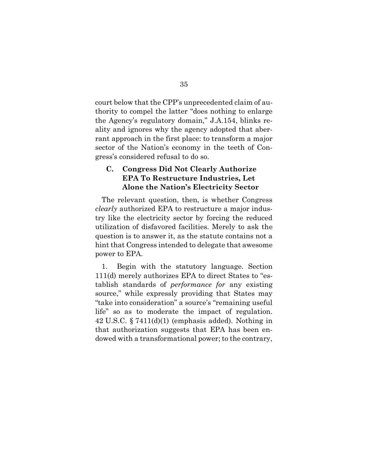court below that the CPP's unprecedented claim of authority to compel the latter "does nothing to enlarge the Agency's regulatory domain," J.A.154, blinks reality and ignores why the agency adopted that aberrant approach in the first place: to transform a major sector of the Nation's economy in the teeth of Congress's considered refusal to do so.

### **C. Congress Did Not Clearly Authorize EPA To Restructure Industries, Let Alone the Nation's Electricity Sector**

The relevant question, then, is whether Congress *clearly* authorized EPA to restructure a major industry like the electricity sector by forcing the reduced utilization of disfavored facilities. Merely to ask the question is to answer it, as the statute contains not a hint that Congress intended to delegate that awesome power to EPA.

1. Begin with the statutory language. Section 111(d) merely authorizes EPA to direct States to "establish standards of *performance for* any existing source," while expressly providing that States may "take into consideration" a source's "remaining useful life" so as to moderate the impact of regulation. 42 U.S.C. § 7411(d)(1) (emphasis added). Nothing in that authorization suggests that EPA has been endowed with a transformational power; to the contrary,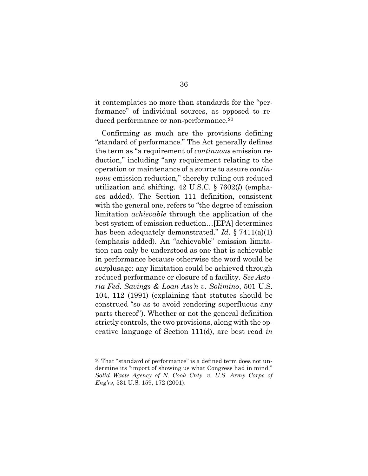it contemplates no more than standards for the "performance" of individual sources, as opposed to reduced performance or non-performance.<sup>20</sup>

Confirming as much are the provisions defining "standard of performance." The Act generally defines the term as "a requirement of *continuous* emission reduction," including "any requirement relating to the operation or maintenance of a source to assure *continuous* emission reduction," thereby ruling out reduced utilization and shifting. 42 U.S.C. § 7602(*l*) (emphases added). The Section 111 definition, consistent with the general one, refers to "the degree of emission limitation *achievable* through the application of the best system of emission reduction…[EPA] determines has been adequately demonstrated." *Id*. § 7411(a)(1) (emphasis added). An "achievable" emission limitation can only be understood as one that is achievable in performance because otherwise the word would be surplusage: any limitation could be achieved through reduced performance or closure of a facility. *See Astoria Fed. Savings & Loan Ass'n v. Solimino*, 501 U.S. 104, 112 (1991) (explaining that statutes should be construed "so as to avoid rendering superfluous any parts thereof"). Whether or not the general definition strictly controls, the two provisions, along with the operative language of Section 111(d), are best read *in* 

<sup>20</sup> That "standard of performance" is a defined term does not undermine its "import of showing us what Congress had in mind." *Solid Waste Agency of N. Cook Cnty. v. U.S. Army Corps of Eng'rs*, 531 U.S. 159, 172 (2001).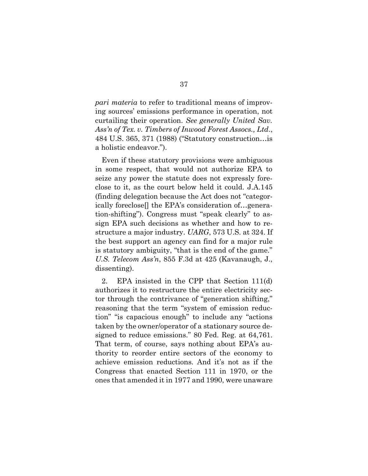*pari materia* to refer to traditional means of improving sources' emissions performance in operation, not curtailing their operation. *See generally United Sav. Ass'n of Tex. v. Timbers of Inwood Forest Assocs., Ltd*., 484 U.S. 365, 371 (1988) ("Statutory construction…is a holistic endeavor.").

Even if these statutory provisions were ambiguous in some respect, that would not authorize EPA to seize any power the statute does not expressly foreclose to it, as the court below held it could. J.A.145 (finding delegation because the Act does not "categorically foreclose[] the EPA's consideration of…generation-shifting"). Congress must "speak clearly" to assign EPA such decisions as whether and how to restructure a major industry. *UARG*, 573 U.S. at 324. If the best support an agency can find for a major rule is statutory ambiguity, "that is the end of the game." *U.S. Telecom Ass'n*, 855 F.3d at 425 (Kavanaugh, J., dissenting).

2. EPA insisted in the CPP that Section 111(d) authorizes it to restructure the entire electricity sector through the contrivance of "generation shifting," reasoning that the term "system of emission reduction" "is capacious enough" to include any "actions taken by the owner/operator of a stationary source designed to reduce emissions." 80 Fed. Reg. at 64,761. That term, of course, says nothing about EPA's authority to reorder entire sectors of the economy to achieve emission reductions. And it's not as if the Congress that enacted Section 111 in 1970, or the ones that amended it in 1977 and 1990, were unaware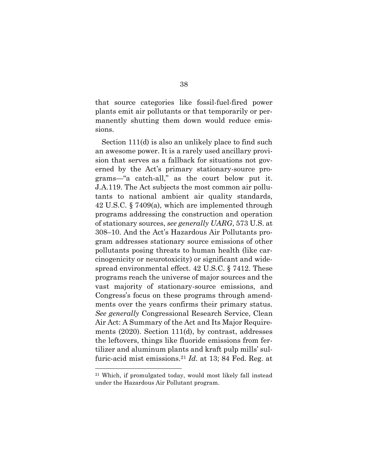that source categories like fossil-fuel-fired power plants emit air pollutants or that temporarily or permanently shutting them down would reduce emissions.

Section 111(d) is also an unlikely place to find such an awesome power. It is a rarely used ancillary provision that serves as a fallback for situations not governed by the Act's primary stationary-source programs—"a catch-all," as the court below put it. J.A.119. The Act subjects the most common air pollutants to national ambient air quality standards, 42 U.S.C. § 7409(a), which are implemented through programs addressing the construction and operation of stationary sources, *see generally UARG*, 573 U.S. at 308–10. And the Act's Hazardous Air Pollutants program addresses stationary source emissions of other pollutants posing threats to human health (like carcinogenicity or neurotoxicity) or significant and widespread environmental effect. 42 U.S.C. § 7412. These programs reach the universe of major sources and the vast majority of stationary-source emissions, and Congress's focus on these programs through amendments over the years confirms their primary status. *See generally* Congressional Research Service, Clean Air Act: A Summary of the Act and Its Major Requirements (2020). Section 111(d), by contrast, addresses the leftovers, things like fluoride emissions from fertilizer and aluminum plants and kraft pulp mills' sulfuric-acid mist emissions.<sup>21</sup> *Id*. at 13; 84 Fed. Reg. at

<sup>21</sup> Which, if promulgated today, would most likely fall instead under the Hazardous Air Pollutant program.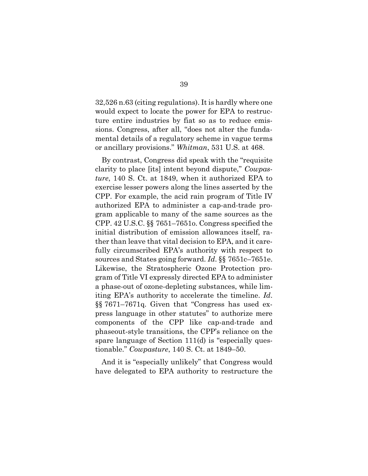32,526 n.63 (citing regulations). It is hardly where one would expect to locate the power for EPA to restructure entire industries by fiat so as to reduce emissions. Congress, after all, "does not alter the fundamental details of a regulatory scheme in vague terms or ancillary provisions." *Whitman*, 531 U.S. at 468.

By contrast, Congress did speak with the "requisite clarity to place [its] intent beyond dispute," *Cowpasture*, 140 S. Ct. at 1849, when it authorized EPA to exercise lesser powers along the lines asserted by the CPP. For example, the acid rain program of Title IV authorized EPA to administer a cap-and-trade program applicable to many of the same sources as the CPP. 42 U.S.C. §§ 7651–7651o. Congress specified the initial distribution of emission allowances itself, rather than leave that vital decision to EPA, and it carefully circumscribed EPA's authority with respect to sources and States going forward. *Id*. §§ 7651c–7651e. Likewise, the Stratospheric Ozone Protection program of Title VI expressly directed EPA to administer a phase-out of ozone-depleting substances, while limiting EPA's authority to accelerate the timeline. *Id*. §§ 7671–7671q. Given that "Congress has used express language in other statutes" to authorize mere components of the CPP like cap-and-trade and phaseout-style transitions, the CPP's reliance on the spare language of Section 111(d) is "especially questionable." *Cowpasture*, 140 S. Ct. at 1849–50.

And it is "especially unlikely" that Congress would have delegated to EPA authority to restructure the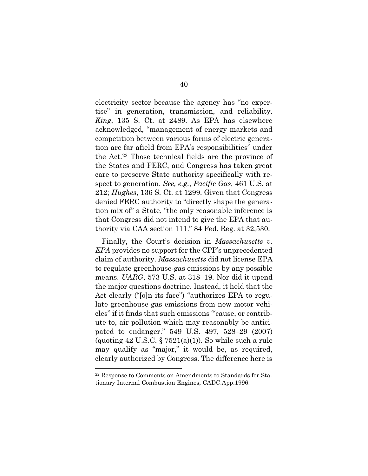electricity sector because the agency has "no expertise" in generation, transmission, and reliability. *King*, 135 S. Ct. at 2489. As EPA has elsewhere acknowledged, "management of energy markets and competition between various forms of electric generation are far afield from EPA's responsibilities" under the Act.<sup>22</sup> Those technical fields are the province of the States and FERC, and Congress has taken great care to preserve State authority specifically with respect to generation. *See, e.g.*, *Pacific Gas*, 461 U.S. at 212; *Hughes*, 136 S. Ct. at 1299. Given that Congress denied FERC authority to "directly shape the generation mix of" a State, "the only reasonable inference is that Congress did not intend to give the EPA that authority via CAA section 111." 84 Fed. Reg. at 32,530.

Finally, the Court's decision in *Massachusetts v. EPA* provides no support for the CPP's unprecedented claim of authority. *Massachusetts* did not license EPA to regulate greenhouse-gas emissions by any possible means. *UARG*, 573 U.S. at 318–19. Nor did it upend the major questions doctrine. Instead, it held that the Act clearly ("[o]n its face") "authorizes EPA to regulate greenhouse gas emissions from new motor vehicles" if it finds that such emissions "'cause, or contribute to, air pollution which may reasonably be anticipated to endanger." 549 U.S. 497, 528–29 (2007) (quoting  $42 \text{ U.S.C.}$  §  $7521(a)(1)$ ). So while such a rule may qualify as "major," it would be, as required, clearly authorized by Congress. The difference here is

<sup>22</sup> Response to Comments on Amendments to Standards for Stationary Internal Combustion Engines, CADC.App.1996.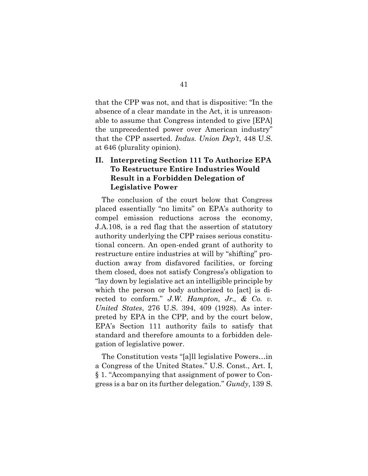that the CPP was not, and that is dispositive: "In the absence of a clear mandate in the Act, it is unreasonable to assume that Congress intended to give [EPA] the unprecedented power over American industry" that the CPP asserted. *Indus. Union Dep't*, 448 U.S. at 646 (plurality opinion).

### **II. Interpreting Section 111 To Authorize EPA To Restructure Entire Industries Would Result in a Forbidden Delegation of Legislative Power**

The conclusion of the court below that Congress placed essentially "no limits" on EPA's authority to compel emission reductions across the economy, J.A.108, is a red flag that the assertion of statutory authority underlying the CPP raises serious constitutional concern. An open-ended grant of authority to restructure entire industries at will by "shifting" production away from disfavored facilities, or forcing them closed, does not satisfy Congress's obligation to "lay down by legislative act an intelligible principle by which the person or body authorized to [act] is directed to conform." *J.W. Hampton, Jr., & Co. v. United States*, 276 U.S. 394, 409 (1928). As interpreted by EPA in the CPP, and by the court below, EPA's Section 111 authority fails to satisfy that standard and therefore amounts to a forbidden delegation of legislative power.

The Constitution vests "[a]ll legislative Powers…in a Congress of the United States." U.S. Const., Art. I, § 1. "Accompanying that assignment of power to Congress is a bar on its further delegation." *Gundy*, 139 S.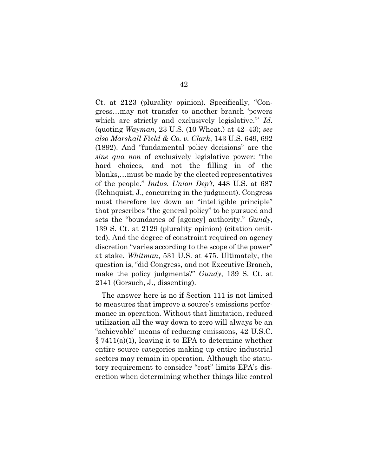Ct. at 2123 (plurality opinion). Specifically, "Congress…may not transfer to another branch 'powers which are strictly and exclusively legislative.'" *Id*. (quoting *Wayman*, 23 U.S. (10 Wheat.) at 42–43); *see also Marshall Field & Co. v. Clark*, 143 U.S. 649, 692 (1892). And "fundamental policy decisions" are the *sine qua non* of exclusively legislative power: "the hard choices, and not the filling in of the blanks,…must be made by the elected representatives of the people." *Indus. Union Dep't*, 448 U.S. at 687 (Rehnquist, J., concurring in the judgment). Congress must therefore lay down an "intelligible principle" that prescribes "the general policy" to be pursued and sets the "boundaries of [agency] authority." *Gundy*, 139 S. Ct. at 2129 (plurality opinion) (citation omitted). And the degree of constraint required on agency discretion "varies according to the scope of the power" at stake. *Whitman*, 531 U.S. at 475. Ultimately, the question is, "did Congress, and not Executive Branch, make the policy judgments?" *Gundy*, 139 S. Ct. at 2141 (Gorsuch, J., dissenting).

The answer here is no if Section 111 is not limited to measures that improve a source's emissions performance in operation. Without that limitation, reduced utilization all the way down to zero will always be an "achievable" means of reducing emissions, 42 U.S.C. § 7411(a)(1), leaving it to EPA to determine whether entire source categories making up entire industrial sectors may remain in operation. Although the statutory requirement to consider "cost" limits EPA's discretion when determining whether things like control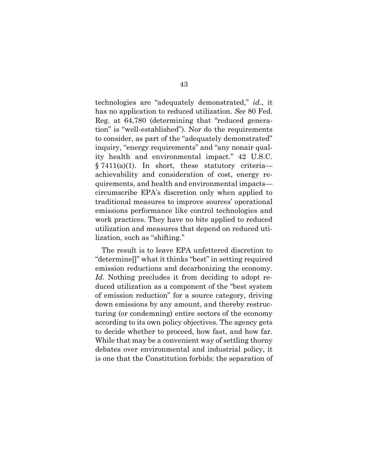technologies are "adequately demonstrated," *id*., it has no application to reduced utilization. *See* 80 Fed. Reg. at 64,780 (determining that "reduced generation" is "well-established"). Nor do the requirements to consider, as part of the "adequately demonstrated" inquiry, "energy requirements" and "any nonair quality health and environmental impact." 42 U.S.C.  $§ 7411(a)(1)$ . In short, these statutory criteria achievability and consideration of cost, energy requirements, and health and environmental impacts circumscribe EPA's discretion only when applied to traditional measures to improve sources' operational emissions performance like control technologies and work practices. They have no bite applied to reduced utilization and measures that depend on reduced utilization, such as "shifting."

The result is to leave EPA unfettered discretion to "determine[]" what it thinks "best" in setting required emission reductions and decarbonizing the economy. *Id*. Nothing precludes it from deciding to adopt reduced utilization as a component of the "best system of emission reduction" for a source category, driving down emissions by any amount, and thereby restructuring (or condemning) entire sectors of the economy according to its own policy objectives. The agency gets to decide whether to proceed, how fast, and how far. While that may be a convenient way of settling thorny debates over environmental and industrial policy, it is one that the Constitution forbids: the separation of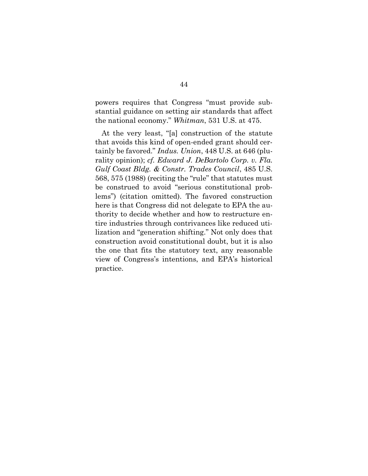powers requires that Congress "must provide substantial guidance on setting air standards that affect the national economy." *Whitman*, 531 U.S. at 475.

At the very least, "[a] construction of the statute that avoids this kind of open-ended grant should certainly be favored." *Indus. Union*, 448 U.S. at 646 (plurality opinion); *cf. Edward J. DeBartolo Corp. v. Fla. Gulf Coast Bldg. & Constr. Trades Council*, 485 U.S. 568, 575 (1988) (reciting the "rule" that statutes must be construed to avoid "serious constitutional problems") (citation omitted). The favored construction here is that Congress did not delegate to EPA the authority to decide whether and how to restructure entire industries through contrivances like reduced utilization and "generation shifting." Not only does that construction avoid constitutional doubt, but it is also the one that fits the statutory text, any reasonable view of Congress's intentions, and EPA's historical practice.